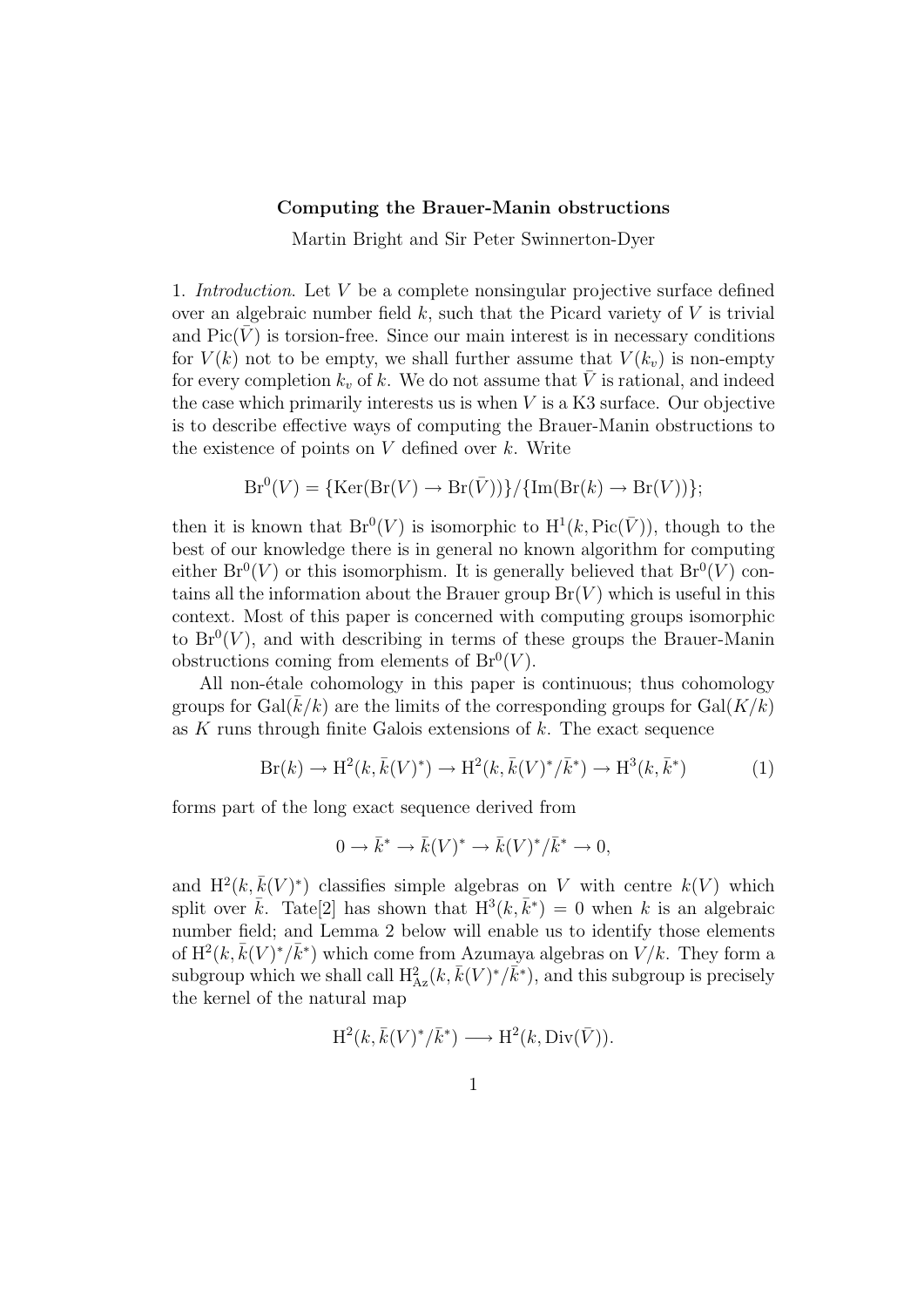## Computing the Brauer-Manin obstructions

Martin Bright and Sir Peter Swinnerton-Dyer

1. Introduction. Let V be a complete nonsingular projective surface defined over an algebraic number field  $k$ , such that the Picard variety of  $V$  is trivial and  $Pic(\overline{V})$  is torsion-free. Since our main interest is in necessary conditions for  $V(k)$  not to be empty, we shall further assume that  $V(k_n)$  is non-empty for every completion  $k_v$  of k. We do not assume that  $\overline{V}$  is rational, and indeed the case which primarily interests us is when  $V$  is a K3 surface. Our objective is to describe effective ways of computing the Brauer-Manin obstructions to the existence of points on  $V$  defined over  $k$ . Write

$$
Br^{0}(V) = {\text{Ker}}(Br(V) \to Br(\bar{V}))}/{\text{Im}(Br(k) \to Br(V))};
$$

then it is known that  $Br^0(V)$  is isomorphic to  $H^1(k, Pic(\bar{V}))$ , though to the best of our knowledge there is in general no known algorithm for computing either  $Br^0(V)$  or this isomorphism. It is generally believed that  $Br^0(V)$  contains all the information about the Brauer group  $Br(V)$  which is useful in this context. Most of this paper is concerned with computing groups isomorphic to  $Br^{0}(V)$ , and with describing in terms of these groups the Brauer-Manin obstructions coming from elements of  $Br^0(V)$ .

All non-étale cohomology in this paper is continuous; thus cohomology groups for  $Gal(k/k)$  are the limits of the corresponding groups for  $Gal(K/k)$ as K runs through finite Galois extensions of  $k$ . The exact sequence

$$
Br(k) \to H^2(k, \bar{k}(V)^*) \to H^2(k, \bar{k}(V)^*/\bar{k}^*) \to H^3(k, \bar{k}^*)
$$
 (1)

forms part of the long exact sequence derived from

$$
0 \to \bar{k}^* \to \bar{k}(V)^* \to \bar{k}(V)^*/\bar{k}^* \to 0,
$$

and  $H^2(k, \bar{k}(V)^*)$  classifies simple algebras on V with centre  $k(V)$  which split over  $\bar{k}$ . Tate<sup>[2]</sup> has shown that  $H^3(k, \bar{k}^*) = 0$  when k is an algebraic number field; and Lemma 2 below will enable us to identify those elements of  $H^2(k, \bar{k}(V)^*/\bar{k}^*)$  which come from Azumaya algebras on  $\dot{V}/k$ . They form a subgroup which we shall call  $H_{Az}^2(k, \bar{k}(V)^*/\bar{k}^*)$ , and this subgroup is precisely the kernel of the natural map

$$
H^2(k, \bar{k}(V)^*/\bar{k}^*) \longrightarrow H^2(k, \text{Div}(\bar{V})).
$$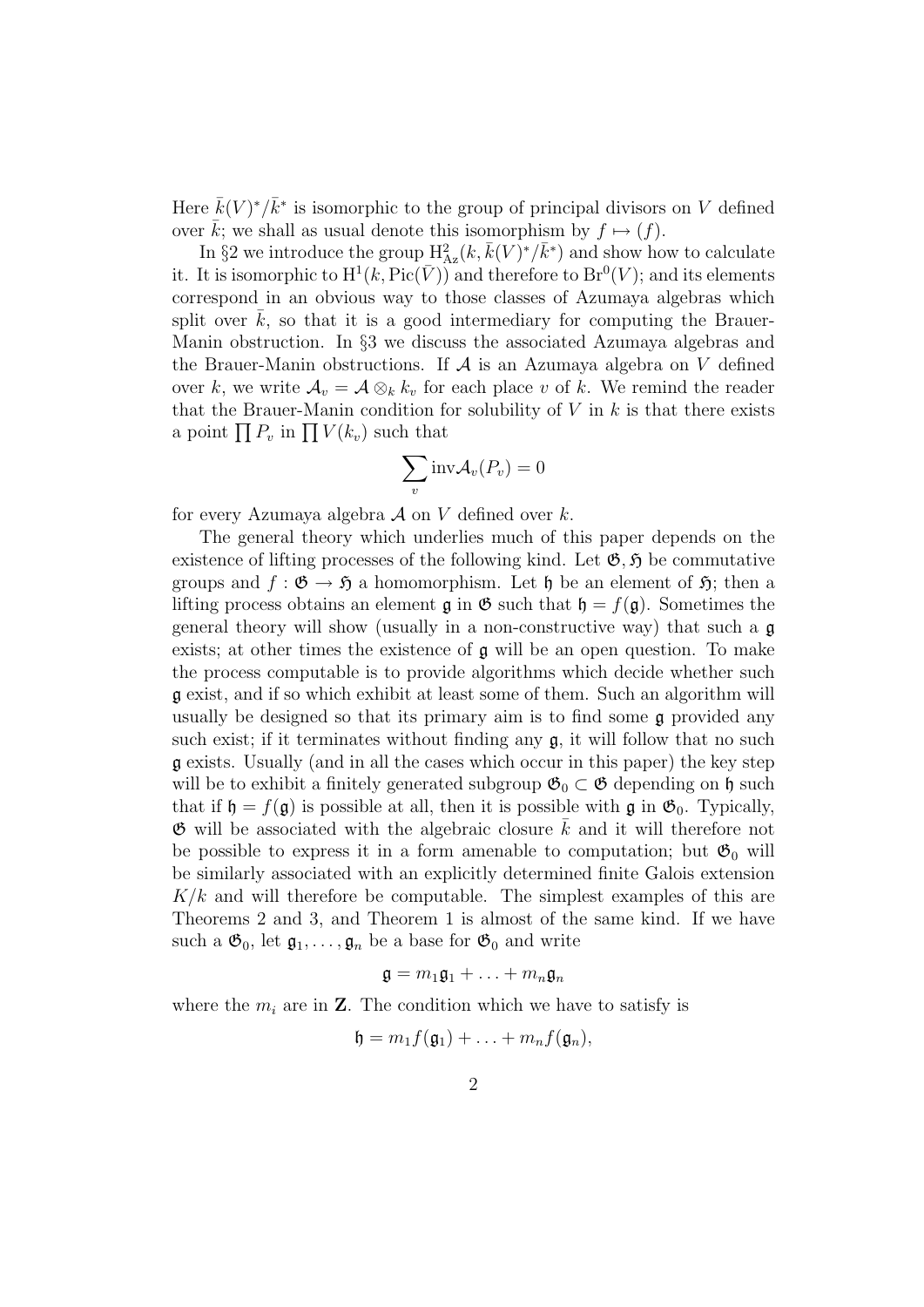Here  $\bar{k}(V)^*/\bar{k}^*$  is isomorphic to the group of principal divisors on V defined over  $\bar{k}$ ; we shall as usual denote this isomorphism by  $f \mapsto (f)$ .

In §2 we introduce the group  $H_{Az}^2(k, \bar{k}(V)^*/\bar{k}^*)$  and show how to calculate it. It is isomorphic to  $\mathrm{H}^1(k,\mathrm{Pic}(\bar{V}))$  and therefore to  $\mathrm{Br}^0(V)$ ; and its elements correspond in an obvious way to those classes of Azumaya algebras which split over  $k$ , so that it is a good intermediary for computing the Brauer-Manin obstruction. In §3 we discuss the associated Azumaya algebras and the Brauer-Manin obstructions. If  $A$  is an Azumaya algebra on  $V$  defined over k, we write  $\mathcal{A}_v = \mathcal{A} \otimes_k k_v$  for each place v of k. We remind the reader that the Brauer-Manin condition for solubility of  $V$  in  $k$  is that there exists a point  $\prod P_v$  in  $\prod V(k_v)$  such that

$$
\sum_{v} \text{inv} \mathcal{A}_{v}(P_{v}) = 0
$$

for every Azumaya algebra  $\mathcal A$  on V defined over k.

The general theory which underlies much of this paper depends on the existence of lifting processes of the following kind. Let  $\mathfrak{G}, \mathfrak{H}$  be commutative groups and  $f : \mathfrak{G} \to \mathfrak{H}$  a homomorphism. Let  $\mathfrak{h}$  be an element of  $\mathfrak{H}$ ; then a lifting process obtains an element  $\mathfrak g$  in  $\mathfrak G$  such that  $\mathfrak h = f(\mathfrak g)$ . Sometimes the general theory will show (usually in a non-constructive way) that such a  $\mathfrak{g}$ exists; at other times the existence of g will be an open question. To make the process computable is to provide algorithms which decide whether such g exist, and if so which exhibit at least some of them. Such an algorithm will usually be designed so that its primary aim is to find some  $\mathfrak g$  provided any such exist; if it terminates without finding any  $\mathfrak{g}$ , it will follow that no such g exists. Usually (and in all the cases which occur in this paper) the key step will be to exhibit a finitely generated subgroup  $\mathfrak{G}_0 \subset \mathfrak{G}$  depending on  $\mathfrak{h}$  such that if  $\mathfrak{h} = f(\mathfrak{g})$  is possible at all, then it is possible with  $\mathfrak{g}$  in  $\mathfrak{G}_0$ . Typically,  $\mathfrak{G}$  will be associated with the algebraic closure k and it will therefore not be possible to express it in a form amenable to computation; but  $\mathfrak{G}_0$  will be similarly associated with an explicitly determined finite Galois extension  $K/k$  and will therefore be computable. The simplest examples of this are Theorems 2 and 3, and Theorem 1 is almost of the same kind. If we have such a  $\mathfrak{G}_0$ , let  $\mathfrak{g}_1, \ldots, \mathfrak{g}_n$  be a base for  $\mathfrak{G}_0$  and write

$$
\mathfrak{g}=m_1\mathfrak{g}_1+\ldots+m_n\mathfrak{g}_n
$$

where the  $m_i$  are in **Z**. The condition which we have to satisfy is

$$
\mathfrak{h}=m_1f(\mathfrak{g}_1)+\ldots+m_nf(\mathfrak{g}_n),
$$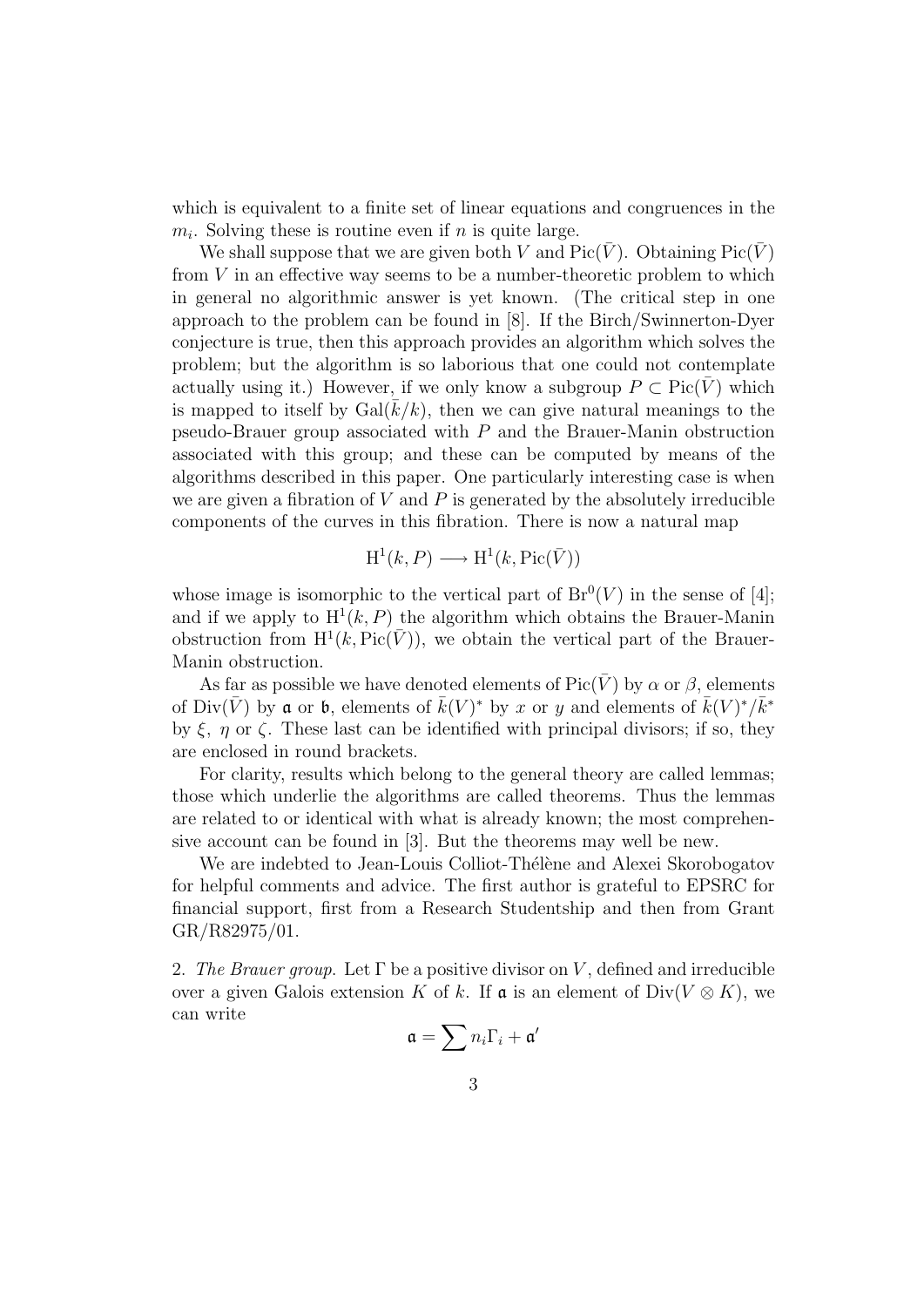which is equivalent to a finite set of linear equations and congruences in the  $m_i$ . Solving these is routine even if n is quite large.

We shall suppose that we are given both V and  $Pic(\overline{V})$ . Obtaining  $Pic(\overline{V})$ from  $V$  in an effective way seems to be a number-theoretic problem to which in general no algorithmic answer is yet known. (The critical step in one approach to the problem can be found in [8]. If the Birch/Swinnerton-Dyer conjecture is true, then this approach provides an algorithm which solves the problem; but the algorithm is so laborious that one could not contemplate actually using it.) However, if we only know a subgroup  $P \subset Pic(V)$  which is mapped to itself by  $Gal(k/k)$ , then we can give natural meanings to the pseudo-Brauer group associated with  $P$  and the Brauer-Manin obstruction associated with this group; and these can be computed by means of the algorithms described in this paper. One particularly interesting case is when we are given a fibration of  $V$  and  $P$  is generated by the absolutely irreducible components of the curves in this fibration. There is now a natural map

$$
H^1(k, P) \longrightarrow H^1(k, Pic(\bar{V}))
$$

whose image is isomorphic to the vertical part of  $Br^0(V)$  in the sense of [4]; and if we apply to  $H^1(k, P)$  the algorithm which obtains the Brauer-Manin obstruction from  $H^1(k, Pic(\bar{V}))$ , we obtain the vertical part of the Brauer-Manin obstruction.

As far as possible we have denoted elements of  $Pic(V)$  by  $\alpha$  or  $\beta$ , elements of Div( $\bar{V}$ ) by **a** or **b**, elements of  $\bar{k}(V)^*$  by x or y and elements of  $\bar{k}(V)^*/\bar{k}^*$ by  $\xi$ ,  $\eta$  or  $\zeta$ . These last can be identified with principal divisors; if so, they are enclosed in round brackets.

For clarity, results which belong to the general theory are called lemmas; those which underlie the algorithms are called theorems. Thus the lemmas are related to or identical with what is already known; the most comprehensive account can be found in [3]. But the theorems may well be new.

We are indebted to Jean-Louis Colliot-Thélène and Alexei Skorobogatov for helpful comments and advice. The first author is grateful to EPSRC for financial support, first from a Research Studentship and then from Grant GR/R82975/01.

2. The Brauer group. Let  $\Gamma$  be a positive divisor on V, defined and irreducible over a given Galois extension K of k. If  $\mathfrak a$  is an element of Div( $V \otimes K$ ), we can write

$$
\mathfrak{a}=\sum n_i\Gamma_i+\mathfrak{a}'
$$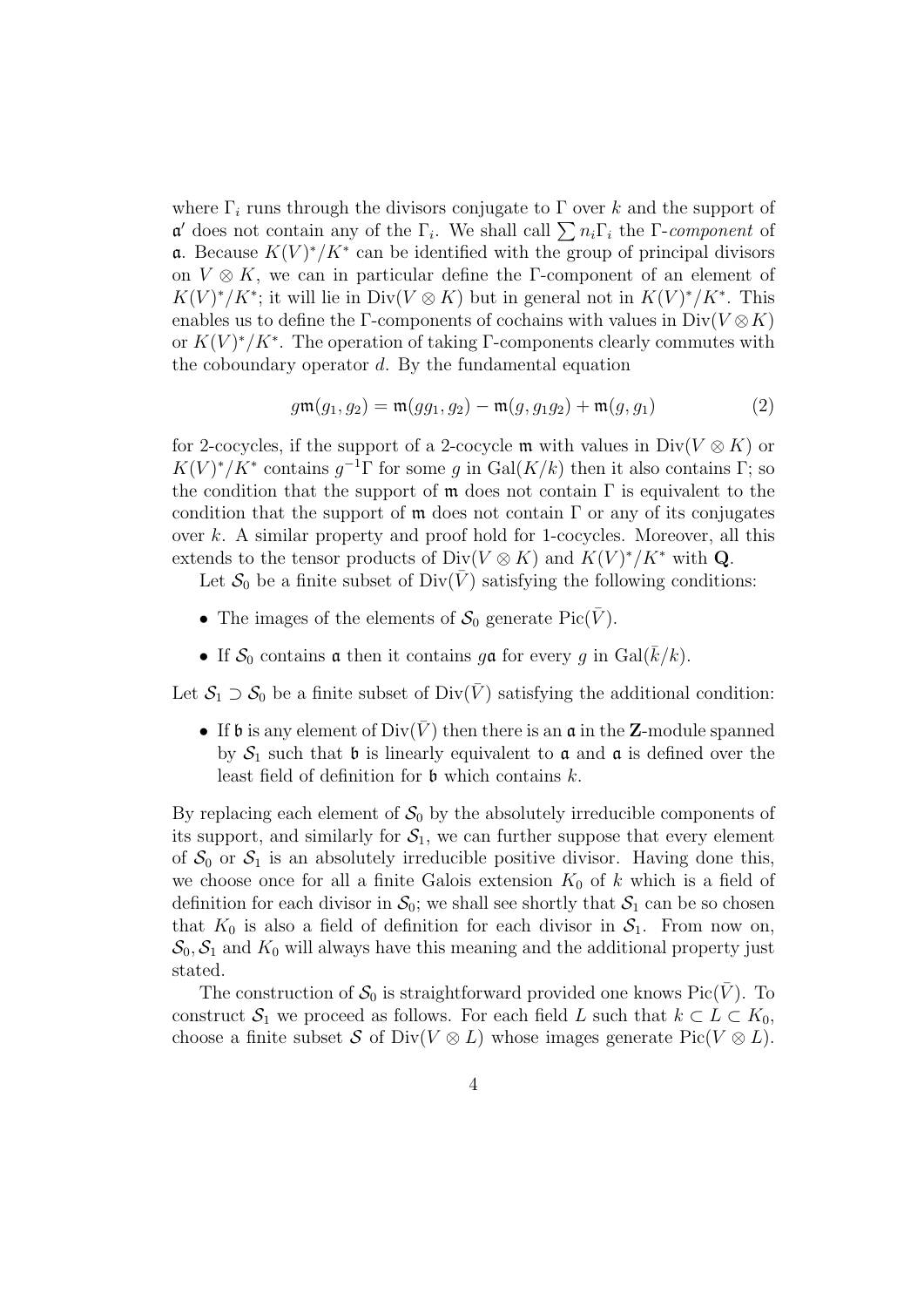where  $\Gamma_i$  runs through the divisors conjugate to  $\Gamma$  over k and the support of  $\mathfrak{a}'$  does not contain any of the  $\Gamma_i$ . We shall call  $\sum n_i \Gamma_i$  the  $\Gamma$ -component of **a**. Because  $K(V)^*/K^*$  can be identified with the group of principal divisors on  $V \otimes K$ , we can in particular define the Γ-component of an element of  $K(V)^*/K^*$ ; it will lie in Div( $V \otimes K$ ) but in general not in  $K(V)^*/K^*$ . This enables us to define the Γ-components of cochains with values in  $Div(V \otimes K)$ or  $K(V)^*/K^*$ . The operation of taking Γ-components clearly commutes with the coboundary operator  $d$ . By the fundamental equation

$$
g\mathfrak{m}(g_1, g_2) = \mathfrak{m}(gg_1, g_2) - \mathfrak{m}(g, g_1g_2) + \mathfrak{m}(g, g_1)
$$
 (2)

for 2-cocycles, if the support of a 2-cocycle m with values in  $Div(V \otimes K)$  or  $K(V)^*/K^*$  contains  $g^{-1}\Gamma$  for some g in  $Gal(K/k)$  then it also contains  $\Gamma$ ; so the condition that the support of  $\mathfrak m$  does not contain  $\Gamma$  is equivalent to the condition that the support of  $\mathfrak m$  does not contain  $\Gamma$  or any of its conjugates over  $k$ . A similar property and proof hold for 1-cocycles. Moreover, all this extends to the tensor products of  $Div(V \otimes K)$  and  $K(V)^*/K^*$  with **Q**.

Let  $S_0$  be a finite subset of  $Div(\bar{V})$  satisfying the following conditions:

- The images of the elements of  $S_0$  generate Pic( $\bar{V}$ ).
- If  $S_0$  contains **a** then it contains g**a** for every g in  $Gal(\overline{k}/k)$ .

Let  $S_1 \supset S_0$  be a finite subset of Div( $\bar{V}$ ) satisfying the additional condition:

• If b is any element of  $Div(\overline{V})$  then there is an  $\mathfrak a$  in the **Z**-module spanned by  $S_1$  such that b is linearly equivalent to  $\alpha$  and  $\alpha$  is defined over the least field of definition for  $\mathfrak b$  which contains  $k$ .

By replacing each element of  $S_0$  by the absolutely irreducible components of its support, and similarly for  $S_1$ , we can further suppose that every element of  $S_0$  or  $S_1$  is an absolutely irreducible positive divisor. Having done this, we choose once for all a finite Galois extension  $K_0$  of k which is a field of definition for each divisor in  $S_0$ ; we shall see shortly that  $S_1$  can be so chosen that  $K_0$  is also a field of definition for each divisor in  $S_1$ . From now on,  $\mathcal{S}_0$ ,  $\mathcal{S}_1$  and  $K_0$  will always have this meaning and the additional property just stated.

The construction of  $S_0$  is straightforward provided one knows Pic(V). To construct  $S_1$  we proceed as follows. For each field L such that  $k \subset L \subset K_0$ , choose a finite subset S of Div(V  $\otimes$  L) whose images generate Pic(V  $\otimes$  L).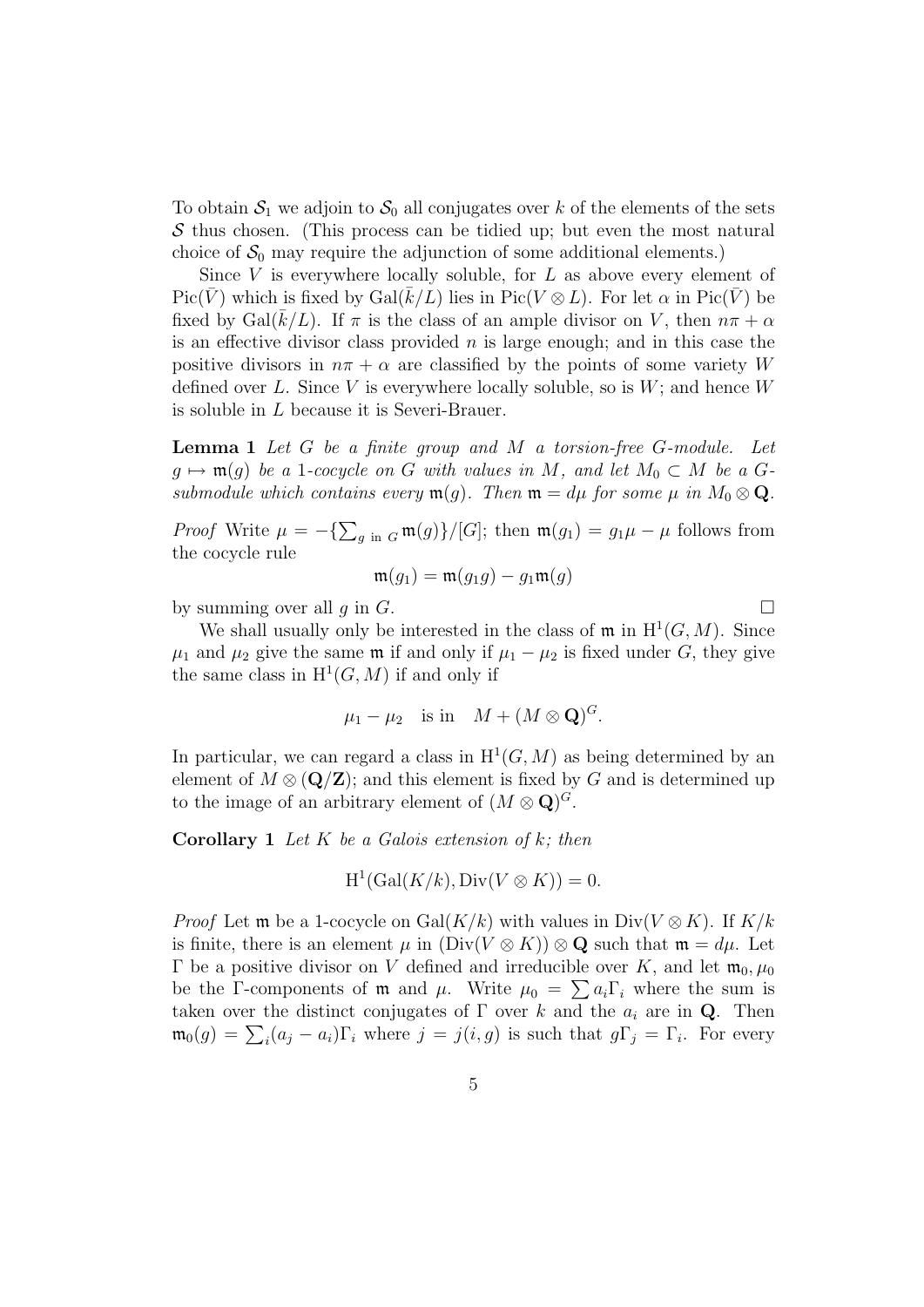To obtain  $S_1$  we adjoin to  $S_0$  all conjugates over k of the elements of the sets  $\mathcal S$  thus chosen. (This process can be tidied up; but even the most natural choice of  $\mathcal{S}_0$  may require the adjunction of some additional elements.)

Since  $V$  is everywhere locally soluble, for  $L$  as above every element of Pic( $\bar{V}$ ) which is fixed by Gal( $\bar{k}/L$ ) lies in Pic( $V \otimes L$ ). For let  $\alpha$  in Pic( $\bar{V}$ ) be fixed by Gal( $\bar{k}/L$ ). If  $\pi$  is the class of an ample divisor on V, then  $n\pi + \alpha$ is an effective divisor class provided  $n$  is large enough; and in this case the positive divisors in  $n\pi + \alpha$  are classified by the points of some variety W defined over L. Since V is everywhere locally soluble, so is  $W$ ; and hence W is soluble in L because it is Severi-Brauer.

Lemma 1 Let G be a finite group and M a torsion-free G-module. Let  $g \mapsto \mathfrak{m}(g)$  be a 1-cocycle on G with values in M, and let  $M_0 \subset M$  be a Gsubmodule which contains every  $\mathfrak{m}(g)$ . Then  $\mathfrak{m} = d\mu$  for some  $\mu$  in  $M_0 \otimes \mathbf{Q}$ .

*Proof* Write  $\mu = -\left\{ \sum_{g \in G} \mathfrak{m}(g) \right\} / [G]$ ; then  $\mathfrak{m}(g_1) = g_1 \mu - \mu$  follows from the cocycle rule

$$
\mathfrak{m}(g_1) = \mathfrak{m}(g_1g) - g_1\mathfrak{m}(g)
$$

by summing over all q in G.

We shall usually only be interested in the class of  $\mathfrak{m}$  in  $\mathrm{H}^1(G,M)$ . Since  $\mu_1$  and  $\mu_2$  give the same m if and only if  $\mu_1 - \mu_2$  is fixed under G, they give the same class in  $H^1(G, M)$  if and only if

$$
\mu_1 - \mu_2
$$
 is in  $M + (M \otimes \mathbf{Q})^G$ .

In particular, we can regard a class in  $H^1(G, M)$  as being determined by an element of  $M \otimes (\mathbf{Q}/\mathbf{Z})$ ; and this element is fixed by G and is determined up to the image of an arbitrary element of  $(M \otimes \mathbf{Q})^G$ .

**Corollary 1** Let K be a Galois extension of k; then

$$
\mathrm{H}^1(\mathrm{Gal}(K/k), \mathrm{Div}(V \otimes K)) = 0.
$$

*Proof* Let **m** be a 1-cocycle on Gal(K/k) with values in  $Div(V \otimes K)$ . If K/k is finite, there is an element  $\mu$  in  $(\text{Div}(V \otimes K)) \otimes \mathbf{Q}$  such that  $\mathfrak{m} = d\mu$ . Let Γ be a positive divisor on V defined and irreducible over K, and let  $m_0, μ_0$ be the Γ-components of **m** and  $\mu$ . Write  $\mu_0 = \sum a_i \Gamma_i$  where the sum is taken over the distinct conjugates of  $\Gamma$  over k and the  $a_i$  are in **Q**. Then  $\mathfrak{m}_0(g) = \sum_i (a_j - a_i) \Gamma_i$  where  $j = j(i, g)$  is such that  $g\Gamma_j = \Gamma_i$ . For every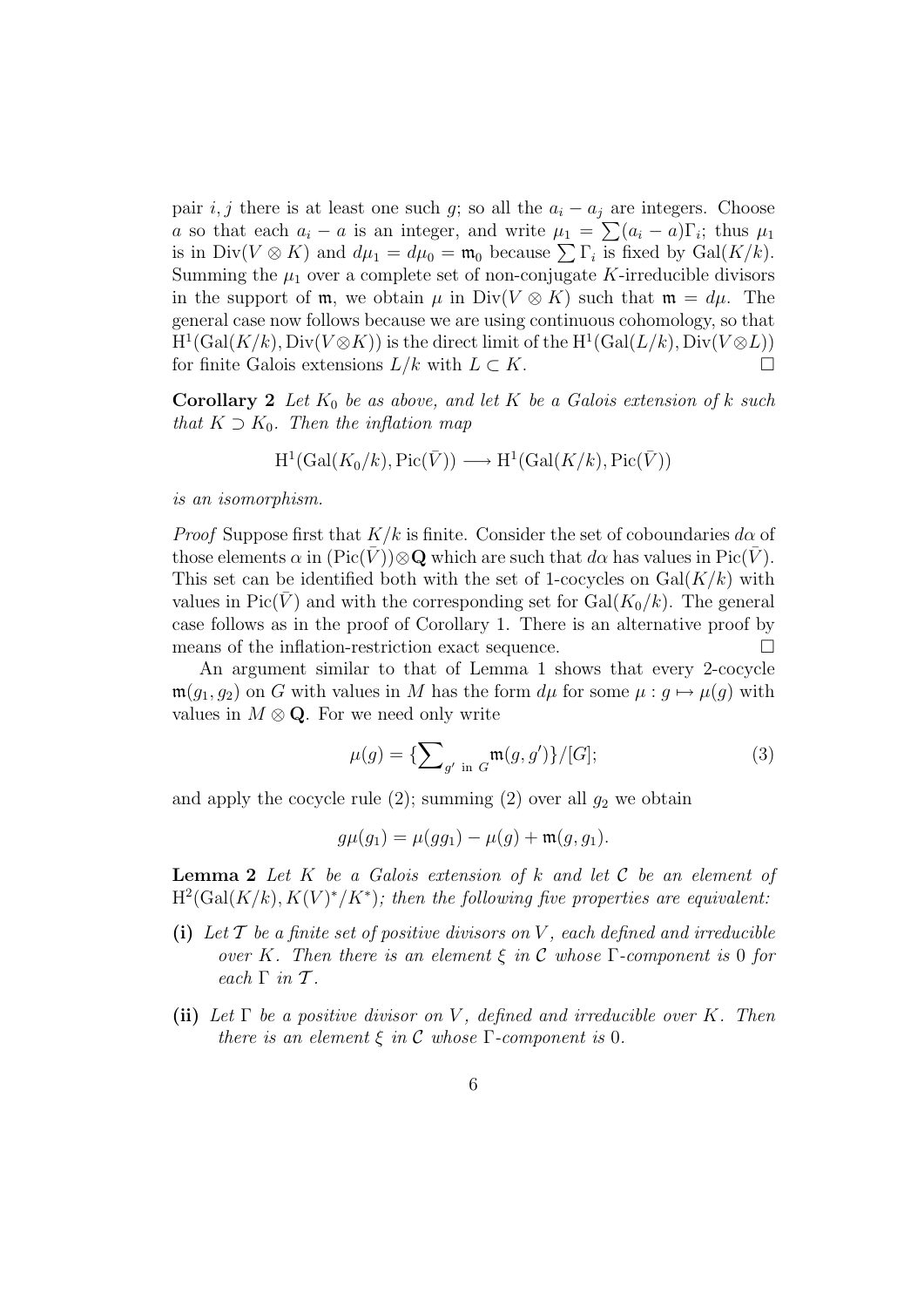pair i, j there is at least one such g; so all the  $a_i - a_j$  are integers. Choose a so that each  $a_i - a$  is an integer, and write  $\mu_1 = \sum_{i=1}^{n} (a_i - a) \Gamma_i$ ; thus  $\mu_1$ is in  $Div(V \otimes K)$  and  $d\mu_1 = d\mu_0 = \mathfrak{m}_0$  because  $\sum \Gamma_i$  is fixed by  $Gal(K/k)$ . Summing the  $\mu_1$  over a complete set of non-conjugate K-irreducible divisors in the support of m, we obtain  $\mu$  in Div(V  $\otimes$  K) such that m =  $d\mu$ . The general case now follows because we are using continuous cohomology, so that  $H^1(\text{Gal}(K/k), \text{Div}(V \otimes K))$  is the direct limit of the  $H^1(\text{Gal}(L/k), \text{Div}(V \otimes L))$ for finite Galois extensions  $L/k$  with  $L \subset K$ .

Corollary 2 Let  $K_0$  be as above, and let K be a Galois extension of k such that  $K \supset K_0$ . Then the inflation map

$$
H^1(\text{Gal}(K_0/k), \text{Pic}(\bar{V})) \longrightarrow H^1(\text{Gal}(K/k), \text{Pic}(\bar{V}))
$$

is an isomorphism.

*Proof* Suppose first that  $K/k$  is finite. Consider the set of coboundaries  $d\alpha$  of those elements  $\alpha$  in  $(\text{Pic}(\overline{V}))\otimes \mathbf{Q}$  which are such that  $d\alpha$  has values in Pic( $\overline{V}$ ). This set can be identified both with the set of 1-cocycles on  $Gal(K/k)$  with values in Pic(V) and with the corresponding set for  $Gal(K_0/k)$ . The general case follows as in the proof of Corollary 1. There is an alternative proof by means of the inflation-restriction exact sequence.

An argument similar to that of Lemma 1 shows that every 2-cocycle  $\mathfrak{m}(g_1, g_2)$  on G with values in M has the form  $d\mu$  for some  $\mu : g \mapsto \mu(g)$  with values in  $M \otimes \mathbf{Q}$ . For we need only write

$$
\mu(g) = \{ \sum_{g' \text{ in } G} \mathfrak{m}(g, g') \} / [G]; \tag{3}
$$

and apply the cocycle rule  $(2)$ ; summing  $(2)$  over all  $g_2$  we obtain

$$
g\mu(g_1) = \mu(gg_1) - \mu(g) + \mathfrak{m}(g, g_1).
$$

**Lemma 2** Let  $K$  be a Galois extension of  $k$  and let  $C$  be an element of  $H^2(\text{Gal}(K/k), K(V)^*/K^*)$ ; then the following five properties are equivalent:

- (i) Let  $\mathcal T$  be a finite set of positive divisors on V, each defined and irreducible over K. Then there is an element  $\xi$  in C whose  $\Gamma$ -component is 0 for each  $\Gamma$  in  $\mathcal T$ .
- (ii) Let  $\Gamma$  be a positive divisor on V, defined and irreducible over K. Then there is an element  $\xi$  in C whose  $\Gamma$ -component is 0.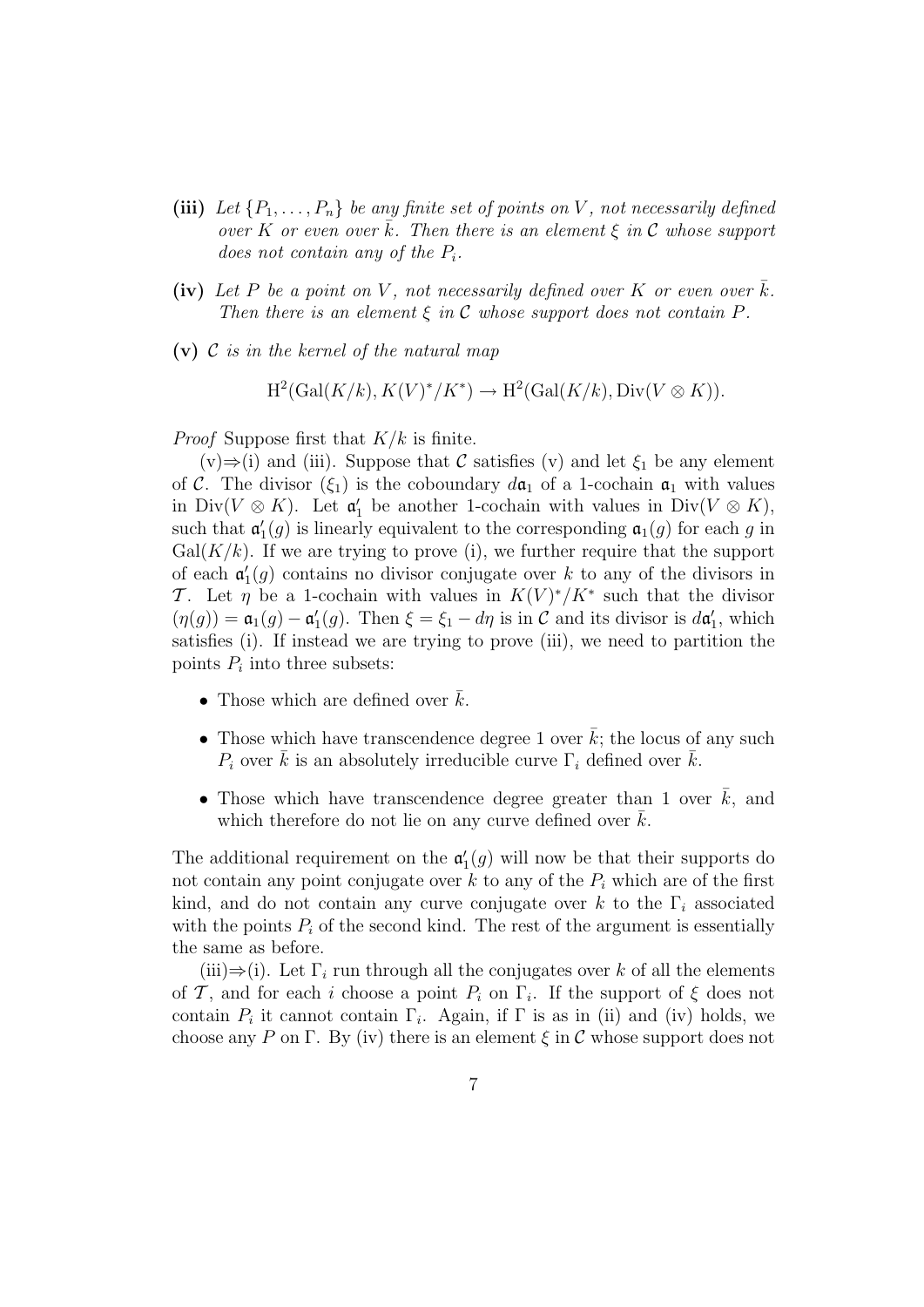- (iii) Let  $\{P_1, \ldots, P_n\}$  be any finite set of points on V, not necessarily defined over K or even over  $\bar{k}$ . Then there is an element  $\xi$  in C whose support does not contain any of the  $P_i$ .
- (iv) Let P be a point on V, not necessarily defined over K or even over k. Then there is an element  $\xi$  in C whose support does not contain P.
- (v)  $\mathcal C$  is in the kernel of the natural map

$$
H^2(\text{Gal}(K/k), K(V)^*/K^*) \to H^2(\text{Gal}(K/k), \text{Div}(V \otimes K)).
$$

*Proof* Suppose first that  $K/k$  is finite.

 $(v) \Rightarrow (i)$  and (iii). Suppose that C satisfies (v) and let  $\xi_1$  be any element of C. The divisor  $(\xi_1)$  is the coboundary  $d\mathfrak{a}_1$  of a 1-cochain  $\mathfrak{a}_1$  with values in Div( $V \otimes K$ ). Let  $\mathfrak{a}'_1$  be another 1-cochain with values in Div( $V \otimes K$ ), such that  $\mathfrak{a}'_1(g)$  is linearly equivalent to the corresponding  $\mathfrak{a}_1(g)$  for each g in  $Gal(K/k)$ . If we are trying to prove (i), we further require that the support of each  $\mathfrak{a}'_1(g)$  contains no divisor conjugate over k to any of the divisors in T. Let  $\eta$  be a 1-cochain with values in  $K(V)^*/K^*$  such that the divisor  $(\eta(g)) = \mathfrak{a}_1(g) - \mathfrak{a}'_1(g)$ . Then  $\xi = \xi_1 - d\eta$  is in C and its divisor is  $d\mathfrak{a}'_1$ , which satisfies (i). If instead we are trying to prove (iii), we need to partition the points  $P_i$  into three subsets:

- Those which are defined over  $k$ .
- Those which have transcendence degree 1 over  $\bar{k}$ ; the locus of any such  $P_i$  over  $\bar{k}$  is an absolutely irreducible curve  $\Gamma_i$  defined over  $\bar{k}$ .
- Those which have transcendence degree greater than 1 over  $\bar{k}$ , and which therefore do not lie on any curve defined over  $k$ .

The additional requirement on the  $\mathfrak{a}'_1(g)$  will now be that their supports do not contain any point conjugate over  $k$  to any of the  $P_i$  which are of the first kind, and do not contain any curve conjugate over k to the  $\Gamma_i$  associated with the points  $P_i$  of the second kind. The rest of the argument is essentially the same as before.

(iii)⇒(i). Let  $\Gamma_i$  run through all the conjugates over k of all the elements of T, and for each i choose a point  $P_i$  on  $\Gamma_i$ . If the support of  $\xi$  does not contain  $P_i$  it cannot contain  $\Gamma_i$ . Again, if  $\Gamma$  is as in (ii) and (iv) holds, we choose any P on Γ. By (iv) there is an element  $\xi$  in C whose support does not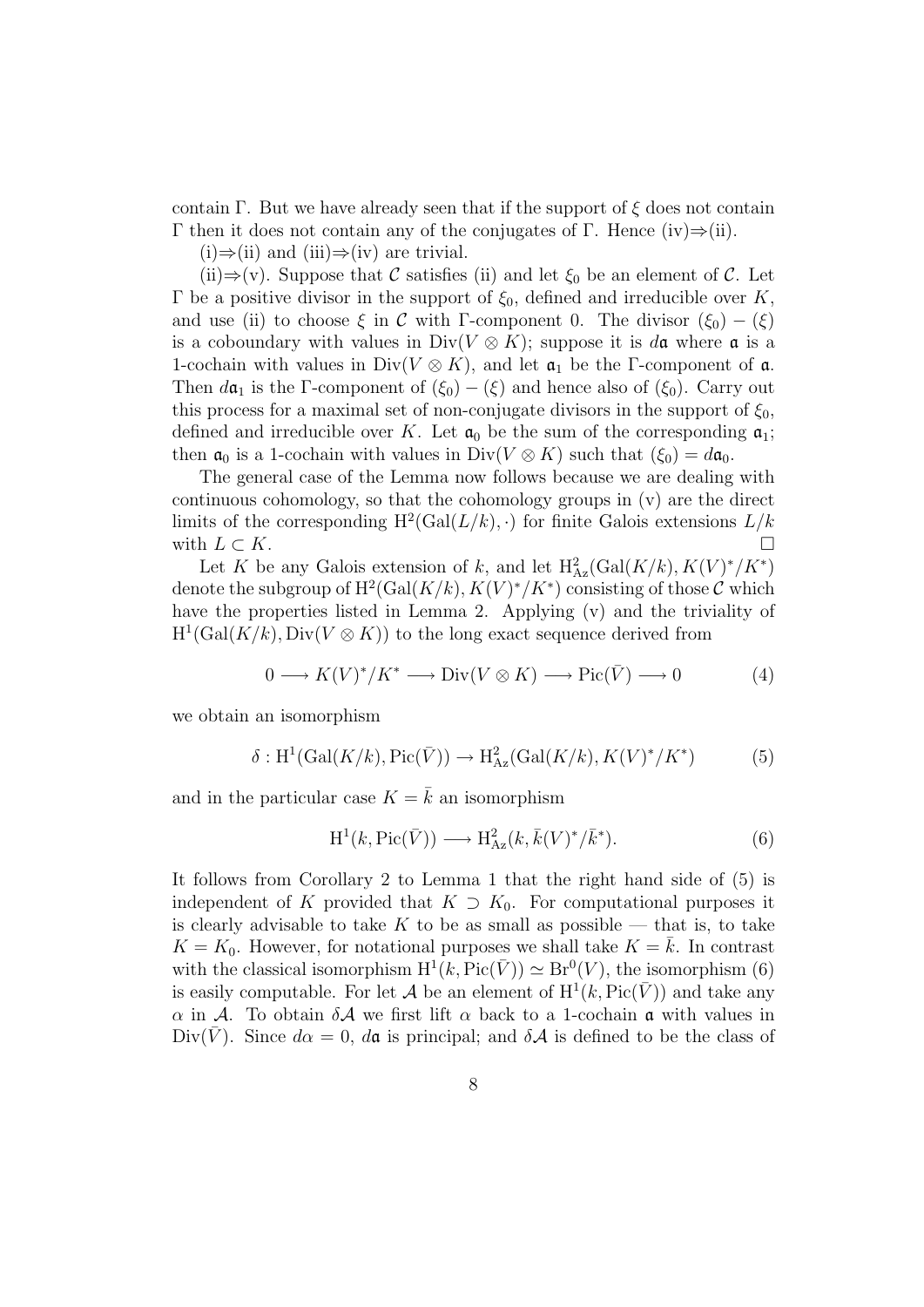contain Γ. But we have already seen that if the support of  $\xi$  does not contain Γ then it does not contain any of the conjugates of Γ. Hence (iv)⇒(ii).

 $(i) \Rightarrow (ii)$  and  $(iii) \Rightarrow (iv)$  are trivial.

(ii)⇒(v). Suppose that C satisfies (ii) and let  $\xi_0$  be an element of C. Let Γ be a positive divisor in the support of  $\xi_0$ , defined and irreducible over K, and use (ii) to choose  $\xi$  in C with Γ-component 0. The divisor  $(\xi_0) - (\xi)$ is a coboundary with values in Div( $V \otimes K$ ); suppose it is da where a is a 1-cochain with values in Div( $V \otimes K$ ), and let  $\mathfrak{a}_1$  be the Γ-component of  $\mathfrak{a}$ . Then  $d\mathfrak{a}_1$  is the Γ-component of  $(\xi_0) - (\xi)$  and hence also of  $(\xi_0)$ . Carry out this process for a maximal set of non-conjugate divisors in the support of  $\xi_0$ , defined and irreducible over K. Let  $a_0$  be the sum of the corresponding  $a_1$ ; then  $\mathfrak{a}_0$  is a 1-cochain with values in Div( $V \otimes K$ ) such that  $(\xi_0) = d\mathfrak{a}_0$ .

The general case of the Lemma now follows because we are dealing with continuous cohomology, so that the cohomology groups in (v) are the direct limits of the corresponding  $H^2(\text{Gal}(L/k), \cdot)$  for finite Galois extensions  $L/k$ with  $L \subset K$ .

Let K be any Galois extension of k, and let  $H^2_{Az}(\text{Gal}(K/k), K(V)^*/K^*)$ denote the subgroup of  $H^2(\text{Gal}(K/k), K(V)^*/K^*)$  consisting of those C which have the properties listed in Lemma 2. Applying (v) and the triviality of  $H^1(\text{Gal}(K/k), \text{Div}(V \otimes K))$  to the long exact sequence derived from

$$
0 \longrightarrow K(V)^*/K^* \longrightarrow \text{Div}(V \otimes K) \longrightarrow \text{Pic}(\bar{V}) \longrightarrow 0 \tag{4}
$$

we obtain an isomorphism

$$
\delta: \mathrm{H}^1(\mathrm{Gal}(K/k), \mathrm{Pic}(\bar{V})) \to \mathrm{H}^2_{\mathrm{Az}}(\mathrm{Gal}(K/k), K(V)^*/K^*)
$$
 (5)

and in the particular case  $K = \overline{k}$  an isomorphism

$$
H^1(k, \text{Pic}(\bar{V})) \longrightarrow H^2_{Az}(k, \bar{k}(V)^*/\bar{k}^*). \tag{6}
$$

It follows from Corollary 2 to Lemma 1 that the right hand side of (5) is independent of K provided that  $K \supset K_0$ . For computational purposes it is clearly advisable to take K to be as small as possible — that is, to take  $K = K_0$ . However, for notational purposes we shall take  $K = \overline{k}$ . In contrast with the classical isomorphism  $H^1(k, Pic(\bar{V})) \simeq Br^0(V)$ , the isomorphism (6) is easily computable. For let A be an element of  $H^1(k, Pic(\bar{V}))$  and take any α in A. To obtain δA we first lift α back to a 1-cochain a with values in Div(V). Since  $d\alpha = 0$ ,  $d\mathfrak{a}$  is principal; and  $\delta \mathcal{A}$  is defined to be the class of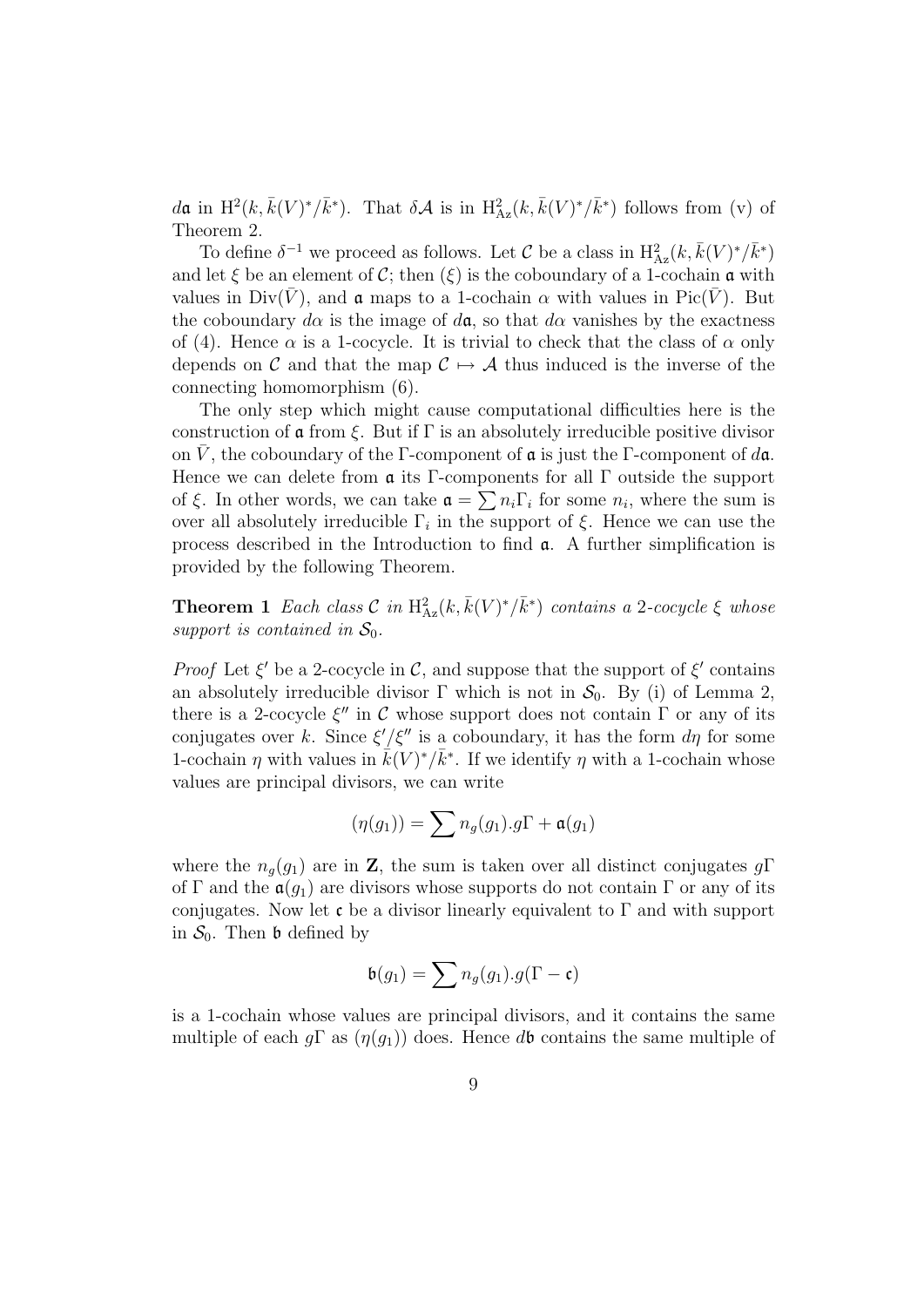da in  $H^2(k, \bar{k}(V)^*/\bar{k}^*)$ . That  $\delta \mathcal{A}$  is in  $H^2_{Az}(k, \bar{k}(V)^*/\bar{k}^*)$  follows from (v) of Theorem 2.

To define  $\delta^{-1}$  we proceed as follows. Let  $\mathcal C$  be a class in  $\mathrm{H}^2_{\mathrm{Az}}(k, \bar{k}(V)^*/\bar{k}^*)$ and let  $\xi$  be an element of C; then  $(\xi)$  is the coboundary of a 1-cochain a with values in Div( $\bar{V}$ ), and  $\alpha$  maps to a 1-cochain  $\alpha$  with values in Pic( $\bar{V}$ ). But the coboundary  $d\alpha$  is the image of  $d\mathfrak{a}$ , so that  $d\alpha$  vanishes by the exactness of (4). Hence  $\alpha$  is a 1-cocycle. It is trivial to check that the class of  $\alpha$  only depends on C and that the map  $C \rightarrow A$  thus induced is the inverse of the connecting homomorphism (6).

The only step which might cause computational difficulties here is the construction of  $\alpha$  from  $\xi$ . But if  $\Gamma$  is an absolutely irreducible positive divisor on  $\bar{V}$ , the coboundary of the Γ-component of  $\alpha$  is just the Γ-component of  $d\alpha$ . Hence we can delete from  $\alpha$  its Γ-components for all  $\Gamma$  outside the support of  $\xi$ . In other words, we can take  $\mathfrak{a} = \sum n_i \Gamma_i$  for some  $n_i$ , where the sum is over all absolutely irreducible  $\Gamma_i$  in the support of  $\xi$ . Hence we can use the process described in the Introduction to find a. A further simplification is provided by the following Theorem.

**Theorem 1** Each class  $\mathcal{C}$  in  $H_{Az}^2(k, \bar{k}(V)^*/\bar{k}^*)$  contains a 2-cocycle  $\xi$  whose support is contained in  $S_0$ .

*Proof* Let  $\xi'$  be a 2-cocycle in  $\mathcal{C}$ , and suppose that the support of  $\xi'$  contains an absolutely irreducible divisor  $\Gamma$  which is not in  $\mathcal{S}_0$ . By (i) of Lemma 2, there is a 2-cocycle  $\xi''$  in C whose support does not contain  $\Gamma$  or any of its conjugates over k. Since  $\xi'/\xi''$  is a coboundary, it has the form  $d\eta$  for some 1-cochain  $\eta$  with values in  $\vec{k}(V)^*/\vec{k}^*$ . If we identify  $\eta$  with a 1-cochain whose values are principal divisors, we can write

$$
(\eta(g_1)) = \sum n_g(g_1).g\Gamma + \mathfrak{a}(g_1)
$$

where the  $n_q(g_1)$  are in **Z**, the sum is taken over all distinct conjugates  $g\Gamma$ of Γ and the  $\mathfrak{a}(g_1)$  are divisors whose supports do not contain Γ or any of its conjugates. Now let c be a divisor linearly equivalent to  $\Gamma$  and with support in  $S_0$ . Then b defined by

$$
\mathfrak{b}(g_1) = \sum n_g(g_1).g(\Gamma - \mathfrak{c})
$$

is a 1-cochain whose values are principal divisors, and it contains the same multiple of each  $g\Gamma$  as  $(\eta(g_1))$  does. Hence db contains the same multiple of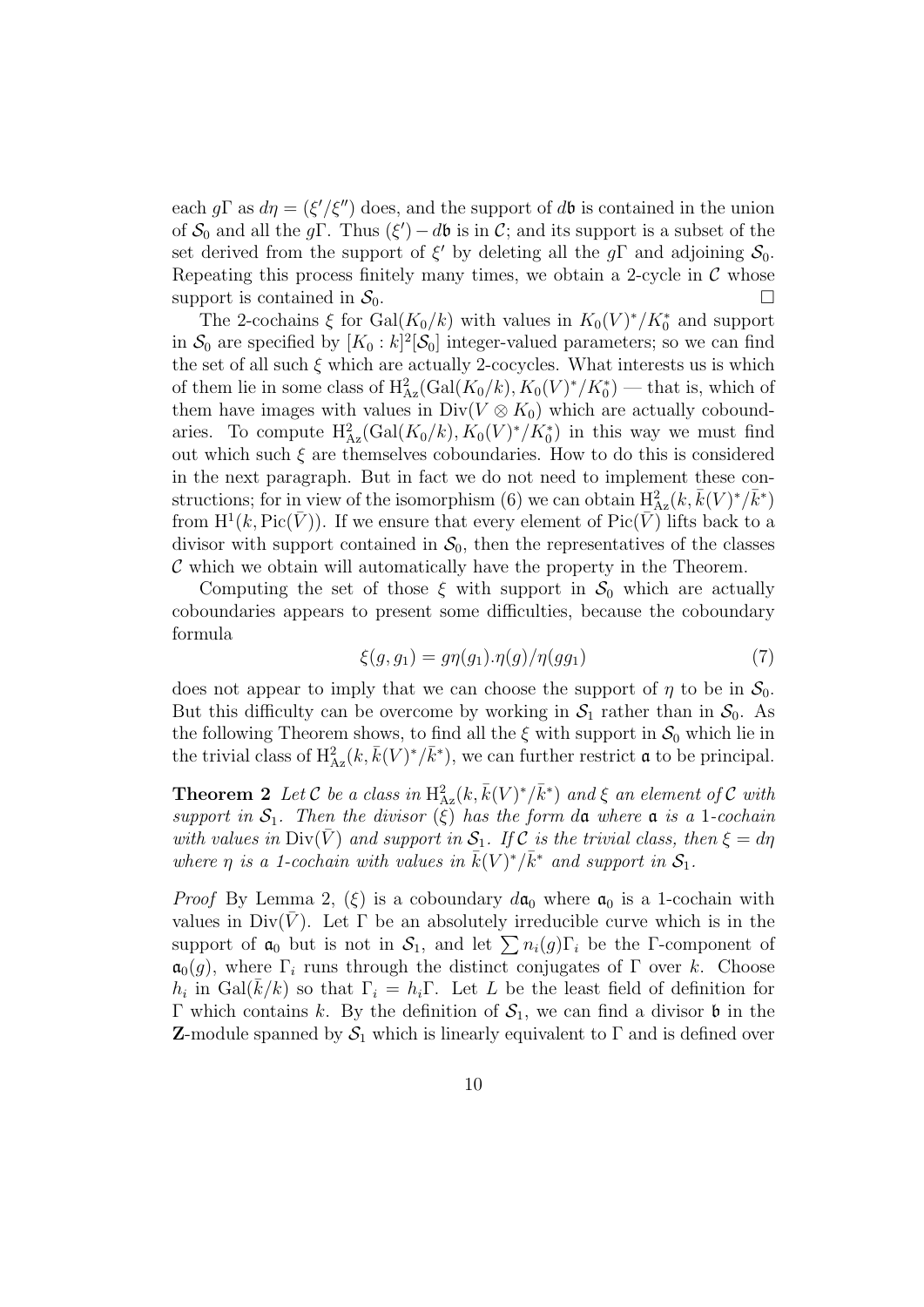each  $g\Gamma$  as  $d\eta = (\xi'/\xi'')$  does, and the support of db is contained in the union of  $S_0$  and all the gΓ. Thus  $(\xi') - d\mathfrak{b}$  is in C; and its support is a subset of the set derived from the support of  $\xi'$  by deleting all the g<sub>Γ</sub> and adjoining  $S_0$ . Repeating this process finitely many times, we obtain a 2-cycle in  $\mathcal C$  whose support is contained in  $S_0$ .

The 2-cochains  $\xi$  for  $Gal(K_0/k)$  with values in  $K_0(V)^*/K_0^*$  and support in  $S_0$  are specified by  $[K_0 : k]^2[\mathcal{S}_0]$  integer-valued parameters; so we can find the set of all such  $\xi$  which are actually 2-cocycles. What interests us is which of them lie in some class of  $\mathrm{H}^2_{\mathrm{Az}}(\mathrm{Gal}(K_0/k), K_0(V)^*/K_0^*)$  — that is, which of them have images with values in  $Div(V \otimes K_0)$  which are actually coboundaries. To compute  $H_{Az}^2(\text{Gal}(K_0/k), K_0(V)^*/K_0^*)$  in this way we must find out which such  $\xi$  are themselves coboundaries. How to do this is considered in the next paragraph. But in fact we do not need to implement these constructions; for in view of the isomorphism (6) we can obtain  $H^2_{Az}(k, \bar{k}(V)^*/\bar{k}^*)$ from  $\mathrm{H}^1(k,\mathrm{Pic}(\bar{V}))$ . If we ensure that every element of  $\mathrm{Pic}(\bar{V})$  lifts back to a divisor with support contained in  $S_0$ , then the representatives of the classes  $\mathcal C$  which we obtain will automatically have the property in the Theorem.

Computing the set of those  $\xi$  with support in  $S_0$  which are actually coboundaries appears to present some difficulties, because the coboundary formula

$$
\xi(g, g_1) = g\eta(g_1) . \eta(g) / \eta(g g_1) \tag{7}
$$

does not appear to imply that we can choose the support of  $\eta$  to be in  $\mathcal{S}_0$ . But this difficulty can be overcome by working in  $S_1$  rather than in  $S_0$ . As the following Theorem shows, to find all the  $\xi$  with support in  $S_0$  which lie in the trivial class of  $H^2_{Az}(k, \bar{k}(V)^*/\bar{k}^*)$ , we can further restrict  $\mathfrak a$  to be principal.

**Theorem 2** Let C be a class in  $H_{Az}^2(k, \bar{k}(V)^*/\bar{k}^*)$  and  $\xi$  an element of C with support in  $S_1$ . Then the divisor  $(\xi)$  has the form da where a is a 1-cochain with values in  $\text{Div}(\overline{V})$  and support in  $\mathcal{S}_1$ . If C is the trivial class, then  $\xi = d\eta$ where  $\eta$  is a 1-cochain with values in  $\bar{k}(V)^*/\bar{k}^*$  and support in  $S_1$ .

*Proof* By Lemma 2,  $(\xi)$  is a coboundary  $d\mathfrak{a}_0$  where  $\mathfrak{a}_0$  is a 1-cochain with values in  $Div(V)$ . Let  $\Gamma$  be an absolutely irreducible curve which is in the support of  $a_0$  but is not in  $S_1$ , and let  $\sum n_i(g)\Gamma_i$  be the Γ-component of  $\mathfrak{a}_0(g)$ , where  $\Gamma_i$  runs through the distinct conjugates of  $\Gamma$  over k. Choose  $h_i$  in Gal( $\bar{k}/k$ ) so that  $\Gamma_i = h_i \Gamma$ . Let L be the least field of definition for Γ which contains k. By the definition of  $S_1$ , we can find a divisor **b** in the **Z**-module spanned by  $S_1$  which is linearly equivalent to  $\Gamma$  and is defined over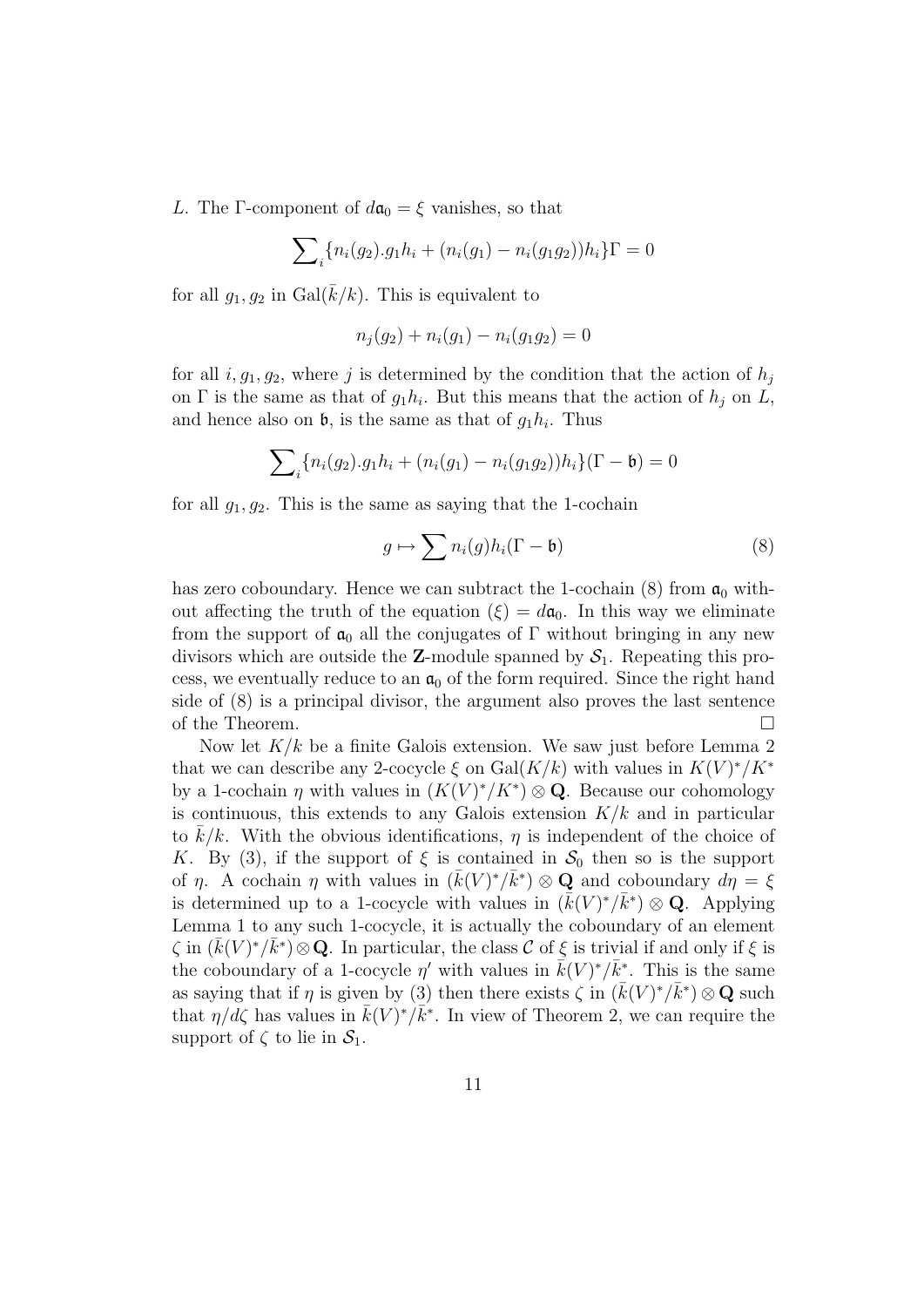L. The Γ-component of  $d\mathfrak{a}_0 = \xi$  vanishes, so that

$$
\sum_{i} \{n_i(g_2).g_1h_i + (n_i(g_1) - n_i(g_1g_2))h_i\} \Gamma = 0
$$

for all  $g_1, g_2$  in  $Gal(\overline{k}/k)$ . This is equivalent to

$$
n_j(g_2) + n_i(g_1) - n_i(g_1g_2) = 0
$$

for all  $i, g_1, g_2$ , where j is determined by the condition that the action of  $h_j$ on  $\Gamma$  is the same as that of  $g_1h_i$ . But this means that the action of  $h_j$  on  $L$ , and hence also on  $\mathfrak{b}$ , is the same as that of  $g_1h_i$ . Thus

$$
\sum_{i} \{n_i(g_2).g_1h_i + (n_i(g_1) - n_i(g_1g_2))h_i\}(\Gamma - \mathfrak{b}) = 0
$$

for all  $g_1, g_2$ . This is the same as saying that the 1-cochain

$$
g \mapsto \sum n_i(g)h_i(\Gamma - \mathfrak{b}) \tag{8}
$$

has zero coboundary. Hence we can subtract the 1-cochain (8) from  $a_0$  without affecting the truth of the equation  $(\xi) = d\mathfrak{a}_0$ . In this way we eliminate from the support of  $a_0$  all the conjugates of  $\Gamma$  without bringing in any new divisors which are outside the **Z**-module spanned by  $S_1$ . Repeating this process, we eventually reduce to an  $a_0$  of the form required. Since the right hand side of (8) is a principal divisor, the argument also proves the last sentence of the Theorem.

Now let  $K/k$  be a finite Galois extension. We saw just before Lemma 2 that we can describe any 2-cocycle  $\xi$  on  $Gal(K/k)$  with values in  $K(V)^*/K^*$ by a 1-cochain  $\eta$  with values in  $(K(V)^*/K^*)\otimes \mathbf{Q}$ . Because our cohomology is continuous, this extends to any Galois extension  $K/k$  and in particular to  $k/k$ . With the obvious identifications,  $\eta$  is independent of the choice of K. By (3), if the support of  $\xi$  is contained in  $S_0$  then so is the support of  $\eta$ . A cochain  $\eta$  with values in  $(\bar{k}(V)^*/\bar{k}^*)\otimes \mathbf{Q}$  and coboundary  $d\eta = \xi$ is determined up to a 1-cocycle with values in  $(\bar{k}(V)^*/\bar{k}^*)\otimes \mathbf{Q}$ . Applying Lemma 1 to any such 1-cocycle, it is actually the coboundary of an element  $\zeta$  in  $(\bar{k}(V)^*/\bar{k}^*)\otimes \mathbf{Q}$ . In particular, the class  $\mathcal C$  of  $\xi$  is trivial if and only if  $\xi$  is the coboundary of a 1-cocycle  $\eta'$  with values in  $\vec{k}(V)^*/\vec{k}^*$ . This is the same as saying that if  $\eta$  is given by (3) then there exists  $\zeta$  in  $(\bar{k}(V)^*/\bar{k}^*)\otimes \mathbf{Q}$  such that  $\eta/d\zeta$  has values in  $\bar{k}(V)^*/\bar{k}^*$ . In view of Theorem 2, we can require the support of  $\zeta$  to lie in  $\mathcal{S}_1$ .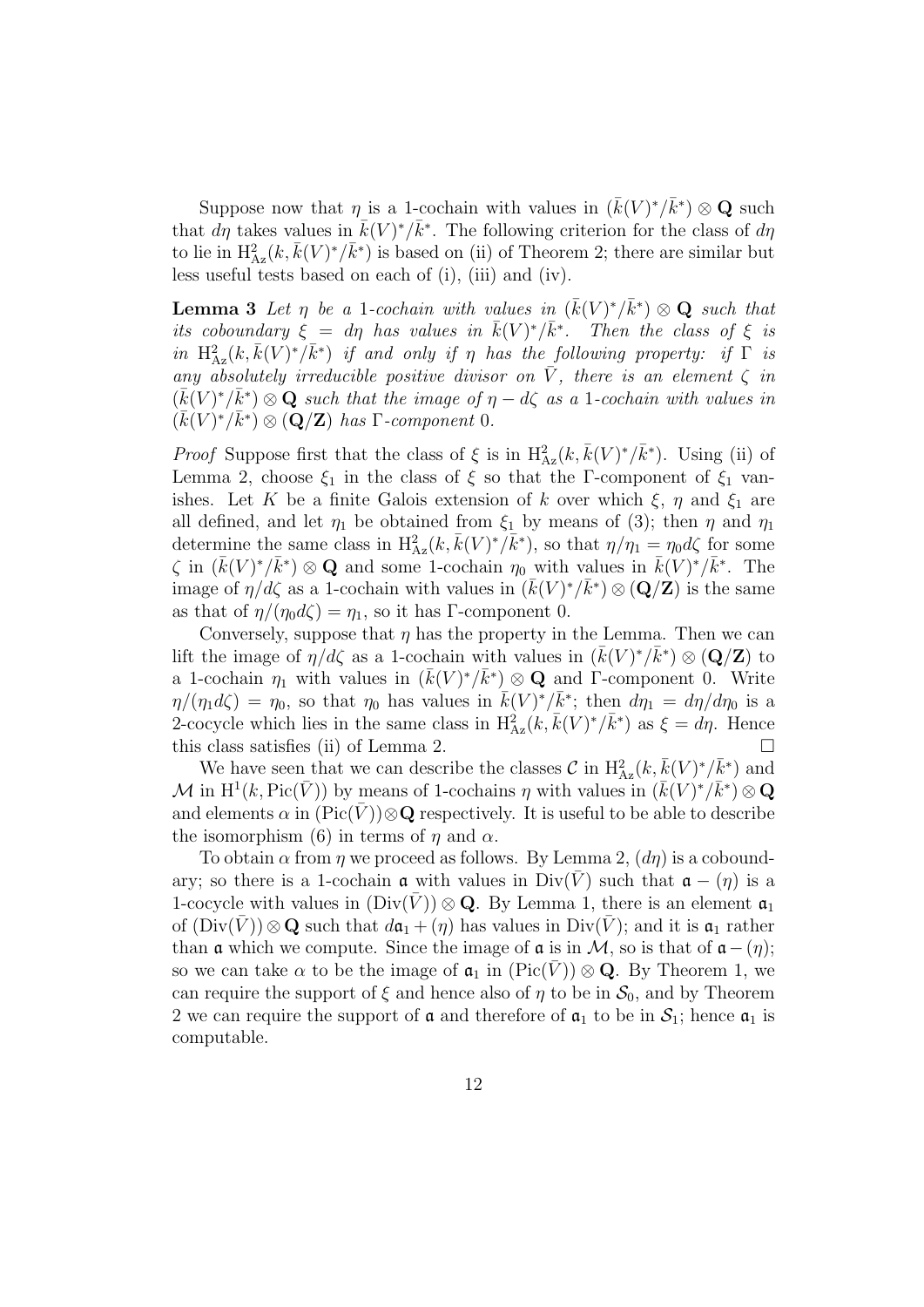Suppose now that  $\eta$  is a 1-cochain with values in  $(\bar{k}(V)^*/\bar{k}^*)\otimes \mathbf{Q}$  such that  $d\eta$  takes values in  $\bar{k}(V)^*/\bar{k}^*$ . The following criterion for the class of  $d\eta$ to lie in  $\mathrm{H}^2_{\mathrm{Az}}(k, \bar{k}(V)^*/\bar{k}^*)$  is based on (ii) of Theorem 2; there are similar but less useful tests based on each of (i), (iii) and (iv).

**Lemma 3** Let  $\eta$  be a 1-cochain with values in  $(\bar{k}(V)^*/\bar{k}^*)\otimes \mathbf{Q}$  such that its coboundary  $\xi = d\eta$  has values in  $\bar{k}(V)^*/\bar{k}^*$ . Then the class of  $\xi$  is in  $H^2_{Az}(k, \bar{k}(V)^*/\bar{k}^*)$  if and only if  $\eta$  has the following property: if  $\Gamma$  is any absolutely irreducible positive divisor on  $\overline{V}$ , there is an element  $\zeta$  in  $(\bar{k}(V)^*/\bar{k}^*)\otimes {\bf Q}$  such that the image of  $\eta-d\zeta$  as a 1-cochain with values in  $(\bar{k}(V)^*/\bar{k}^*) \otimes (\mathbf{Q}/\mathbf{Z})$  has  $\Gamma$ -component 0.

*Proof* Suppose first that the class of  $\xi$  is in  $H^2_{Az}(k, \bar{k}(V)^*/\bar{k}^*)$ . Using (ii) of Lemma 2, choose  $\xi_1$  in the class of  $\xi$  so that the Γ-component of  $\xi_1$  vanishes. Let K be a finite Galois extension of k over which  $\xi$ ,  $\eta$  and  $\xi_1$  are all defined, and let  $\eta_1$  be obtained from  $\xi_1$  by means of (3); then  $\eta$  and  $\eta_1$ determine the same class in  $H_{Az}^2(k, \bar{k}(V)^*/\bar{k}^*)$ , so that  $\eta/\eta_1 = \eta_0 d\zeta$  for some  $\zeta$  in  $(\bar{k}(V)^*/\bar{k}^*)\otimes \mathbf{Q}$  and some 1-cochain  $\eta_0$  with values in  $\bar{k}(V)^*/\bar{k}^*$ . The image of  $\eta/d\zeta$  as a 1-cochain with values in  $(\bar{k}(V)^*/\bar{k}^*)\otimes (\mathbf{Q}/\mathbf{Z})$  is the same as that of  $\eta/(\eta_0 d\zeta) = \eta_1$ , so it has Γ-component 0.

Conversely, suppose that  $\eta$  has the property in the Lemma. Then we can lift the image of  $\eta/d\zeta$  as a 1-cochain with values in  $(\bar{k}(V)^*/\bar{k}^*)\otimes(\mathbf{Q}/\mathbf{Z})$  to a 1-cochain  $\eta_1$  with values in  $(\bar{k}(V)^*/\bar{k}^*)\otimes \mathbf{Q}$  and  $\Gamma$ -component 0. Write  $\eta/(\eta_1 d\zeta) = \eta_0$ , so that  $\eta_0$  has values in  $\bar{k}(V)^*/\bar{k}^*$ ; then  $d\eta_1 = d\eta/d\eta_0$  is a 2-cocycle which lies in the same class in  $H_{Az}^{2}(k, \bar{k}(V)^{*}/\bar{k}^{*})$  as  $\xi = d\eta$ . Hence this class satisfies (ii) of Lemma 2.  $\Box$ 

We have seen that we can describe the classes  $\mathcal{C}$  in  $H^2_{Az}(k, \bar{k}(V)^*/\bar{k}^*)$  and M in  $\mathrm{H}^1(k, \mathrm{Pic}(\bar{V}))$  by means of 1-cochains  $\eta$  with values in  $(\bar{k}(V)^*/\bar{k}^*)\otimes \mathbf{Q}$ and elements  $\alpha$  in  $(\text{Pic}(\bar{V}))\otimes \mathbf{Q}$  respectively. It is useful to be able to describe the isomorphism (6) in terms of  $\eta$  and  $\alpha$ .

To obtain  $\alpha$  from  $\eta$  we proceed as follows. By Lemma 2,  $(d\eta)$  is a coboundary; so there is a 1-cochain  $\alpha$  with values in Div( $\overline{V}$ ) such that  $\alpha - (\eta)$  is a 1-cocycle with values in  $(Div(V)) \otimes \mathbf{Q}$ . By Lemma 1, there is an element  $\mathfrak{a}_1$ of  $(Div(\bar{V}))\otimes \mathbf{Q}$  such that  $d\mathfrak{a}_1 + (\eta)$  has values in  $Div(\bar{V})$ ; and it is  $\mathfrak{a}_1$  rather than **a** which we compute. Since the image of **a** is in M, so is that of  $a-(\eta)$ ; so we can take  $\alpha$  to be the image of  $a_1$  in  $(\text{Pic}(V)) \otimes \mathbf{Q}$ . By Theorem 1, we can require the support of  $\xi$  and hence also of  $\eta$  to be in  $S_0$ , and by Theorem 2 we can require the support of  $\alpha$  and therefore of  $\alpha_1$  to be in  $S_1$ ; hence  $\alpha_1$  is computable.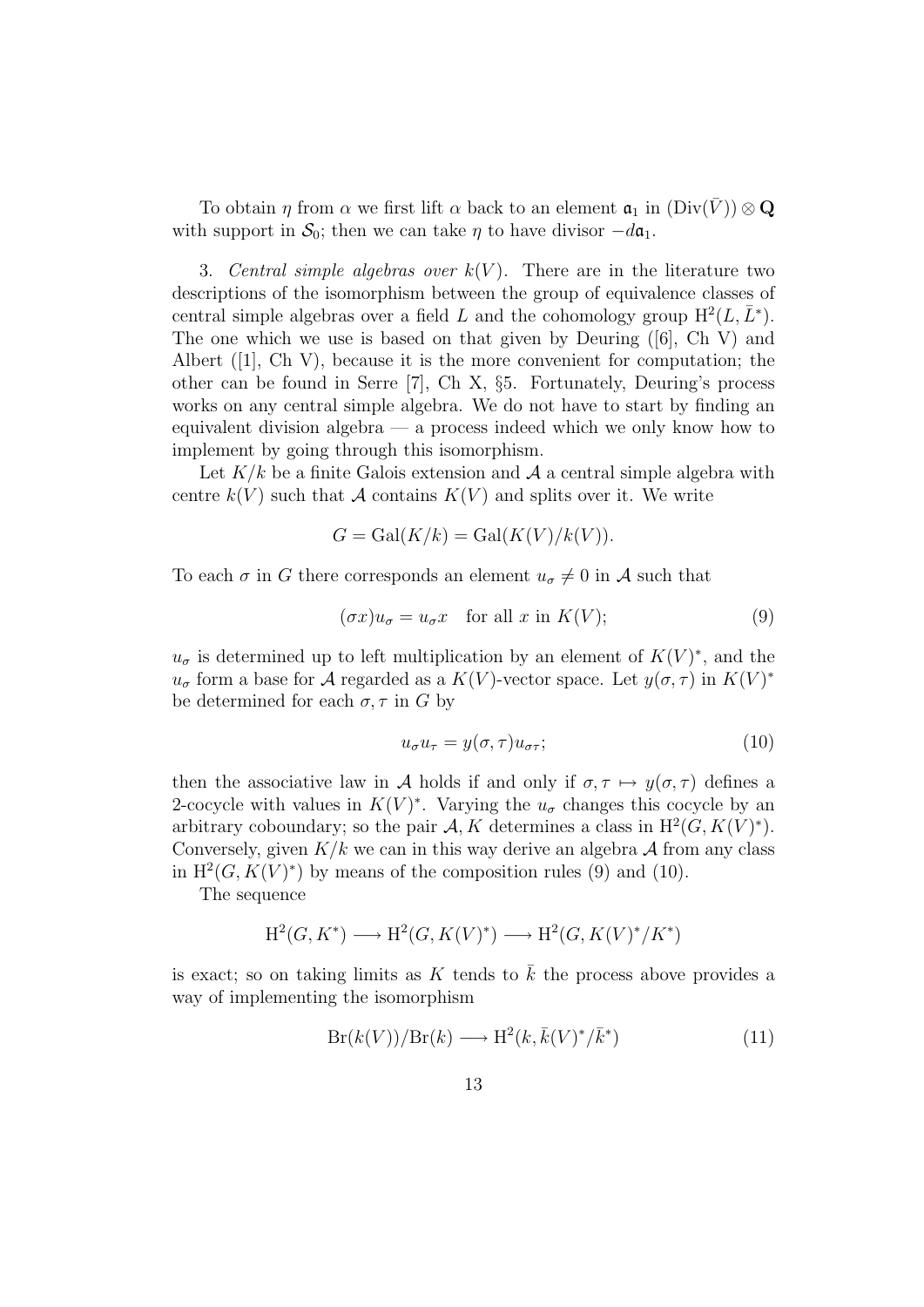To obtain  $\eta$  from  $\alpha$  we first lift  $\alpha$  back to an element  $\mathfrak{a}_1$  in  $(\text{Div}(V)) \otimes \mathbf{Q}$ with support in  $S_0$ ; then we can take  $\eta$  to have divisor  $-d\mathfrak{a}_1$ .

3. Central simple algebras over  $k(V)$ . There are in the literature two descriptions of the isomorphism between the group of equivalence classes of central simple algebras over a field L and the cohomology group  $H^2(L, \bar{L}^*)$ . The one which we use is based on that given by Deuring ([6], Ch V) and Albert  $(1)$ , Ch V), because it is the more convenient for computation; the other can be found in Serre [7], Ch X, §5. Fortunately, Deuring's process works on any central simple algebra. We do not have to start by finding an equivalent division algebra — a process indeed which we only know how to implement by going through this isomorphism.

Let  $K/k$  be a finite Galois extension and  $A$  a central simple algebra with centre  $k(V)$  such that A contains  $K(V)$  and splits over it. We write

$$
G = \text{Gal}(K/k) = \text{Gal}(K(V)/k(V)).
$$

To each  $\sigma$  in G there corresponds an element  $u_{\sigma} \neq 0$  in A such that

$$
(\sigma x)u_{\sigma} = u_{\sigma}x \quad \text{for all } x \text{ in } K(V); \tag{9}
$$

 $u_{\sigma}$  is determined up to left multiplication by an element of  $K(V)^*$ , and the  $u_{\sigma}$  form a base for A regarded as a  $K(V)$ -vector space. Let  $y(\sigma, \tau)$  in  $K(V)^*$ be determined for each  $\sigma, \tau$  in G by

$$
u_{\sigma}u_{\tau} = y(\sigma, \tau)u_{\sigma\tau};\tag{10}
$$

then the associative law in A holds if and only if  $\sigma, \tau \mapsto y(\sigma, \tau)$  defines a 2-cocycle with values in  $K(V)^*$ . Varying the  $u_{\sigma}$  changes this cocycle by an arbitrary coboundary; so the pair  $A, K$  determines a class in  $H^2(G, K(V)^*)$ . Conversely, given  $K/k$  we can in this way derive an algebra  $\mathcal A$  from any class in  $H^2(G, K(V)^*)$  by means of the composition rules (9) and (10).

The sequence

$$
H^2(G, K^*) \longrightarrow H^2(G, K(V)^*) \longrightarrow H^2(G, K(V)^*/K^*)
$$

is exact; so on taking limits as  $K$  tends to  $k$  the process above provides a way of implementing the isomorphism

$$
Br(k(V))/Br(k) \longrightarrow H^2(k, \bar{k}(V)^*/\bar{k}^*)
$$
\n(11)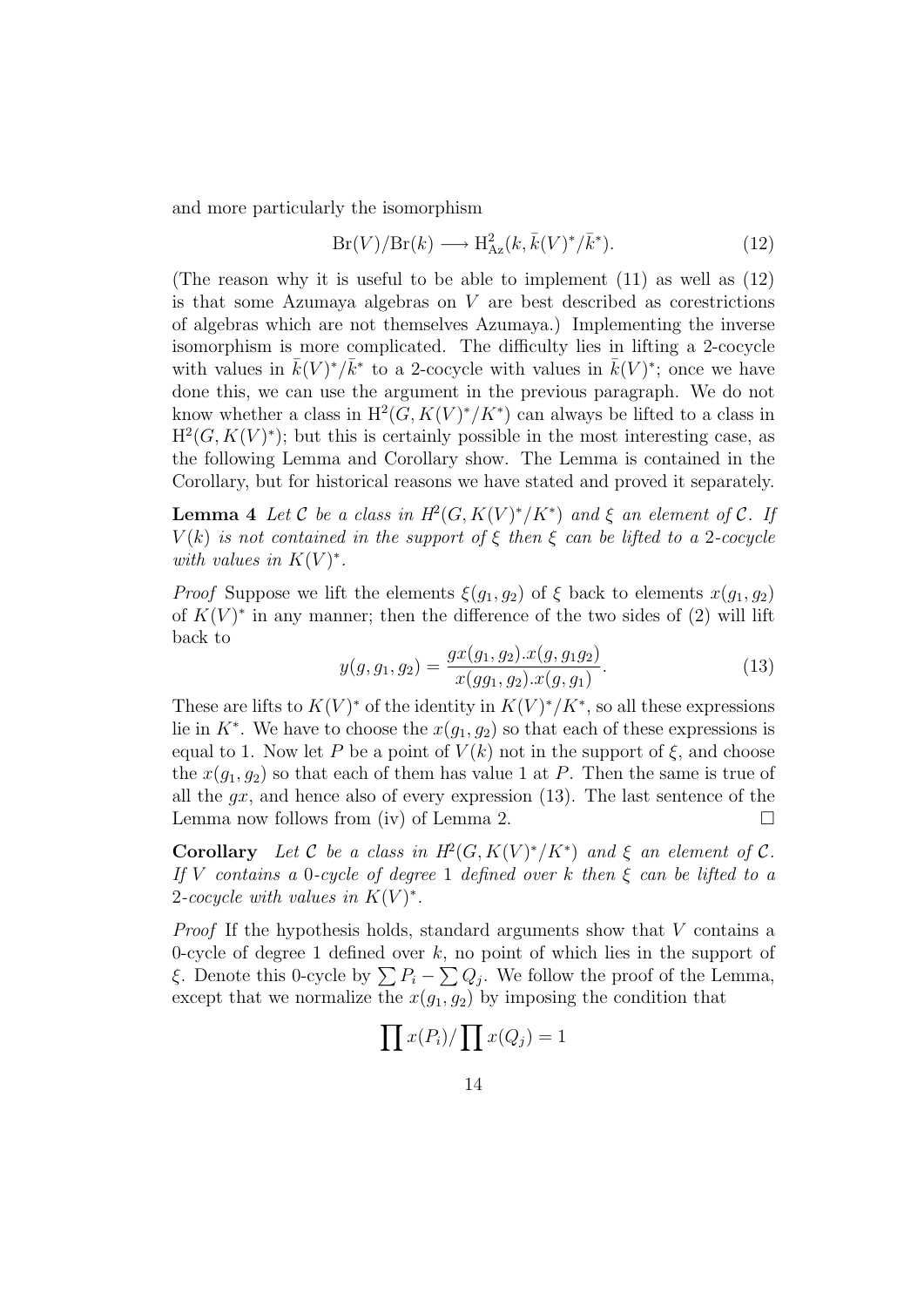and more particularly the isomorphism

$$
Br(V)/Br(k) \longrightarrow H^2_{Az}(k, \bar{k}(V)^*/\bar{k}^*).
$$
 (12)

(The reason why it is useful to be able to implement (11) as well as (12) is that some Azumaya algebras on  $V$  are best described as corestrictions of algebras which are not themselves Azumaya.) Implementing the inverse isomorphism is more complicated. The difficulty lies in lifting a 2-cocycle with values in  $\bar{k}(V)^*/\bar{k}^*$  to a 2-cocycle with values in  $\bar{k}(V)^*$ ; once we have done this, we can use the argument in the previous paragraph. We do not know whether a class in  $H^2(G, K(V)^*/K^*)$  can always be lifted to a class in  $H^2(G, K(V)^*)$ ; but this is certainly possible in the most interesting case, as the following Lemma and Corollary show. The Lemma is contained in the Corollary, but for historical reasons we have stated and proved it separately.

**Lemma 4** Let C be a class in  $H^2(G, K(V)^*/K^*)$  and  $\xi$  an element of C. If  $V(k)$  is not contained in the support of  $\xi$  then  $\xi$  can be lifted to a 2-cocycle with values in  $K(V)^*$ .

*Proof* Suppose we lift the elements  $\xi(g_1, g_2)$  of  $\xi$  back to elements  $x(g_1, g_2)$ of  $K(V)^*$  in any manner; then the difference of the two sides of (2) will lift back to

$$
y(g, g_1, g_2) = \frac{gx(g_1, g_2).x(g, g_1g_2)}{x(gg_1, g_2).x(g, g_1)}.
$$
\n(13)

These are lifts to  $K(V)^*$  of the identity in  $K(V)^*/K^*$ , so all these expressions lie in  $K^*$ . We have to choose the  $x(g_1, g_2)$  so that each of these expressions is equal to 1. Now let P be a point of  $V(k)$  not in the support of  $\xi$ , and choose the  $x(q_1, q_2)$  so that each of them has value 1 at P. Then the same is true of all the  $qx$ , and hence also of every expression (13). The last sentence of the Lemma now follows from (iv) of Lemma 2.  $\Box$ 

Corollary Let C be a class in  $H^2(G, K(V)^*/K^*)$  and  $\xi$  an element of C. If V contains a 0-cycle of degree 1 defined over k then  $\xi$  can be lifted to a 2-cocycle with values in  $K(V)^*$ .

Proof If the hypothesis holds, standard arguments show that V contains a 0-cycle of degree 1 defined over  $k$ , no point of which lies in the support of ξ. Denote this 0-cycle by  $\sum P_i - \sum Q_j$ . We follow the proof of the Lemma, except that we normalize the  $x(g_1, g_2)$  by imposing the condition that

$$
\prod x(P_i) / \prod x(Q_j) = 1
$$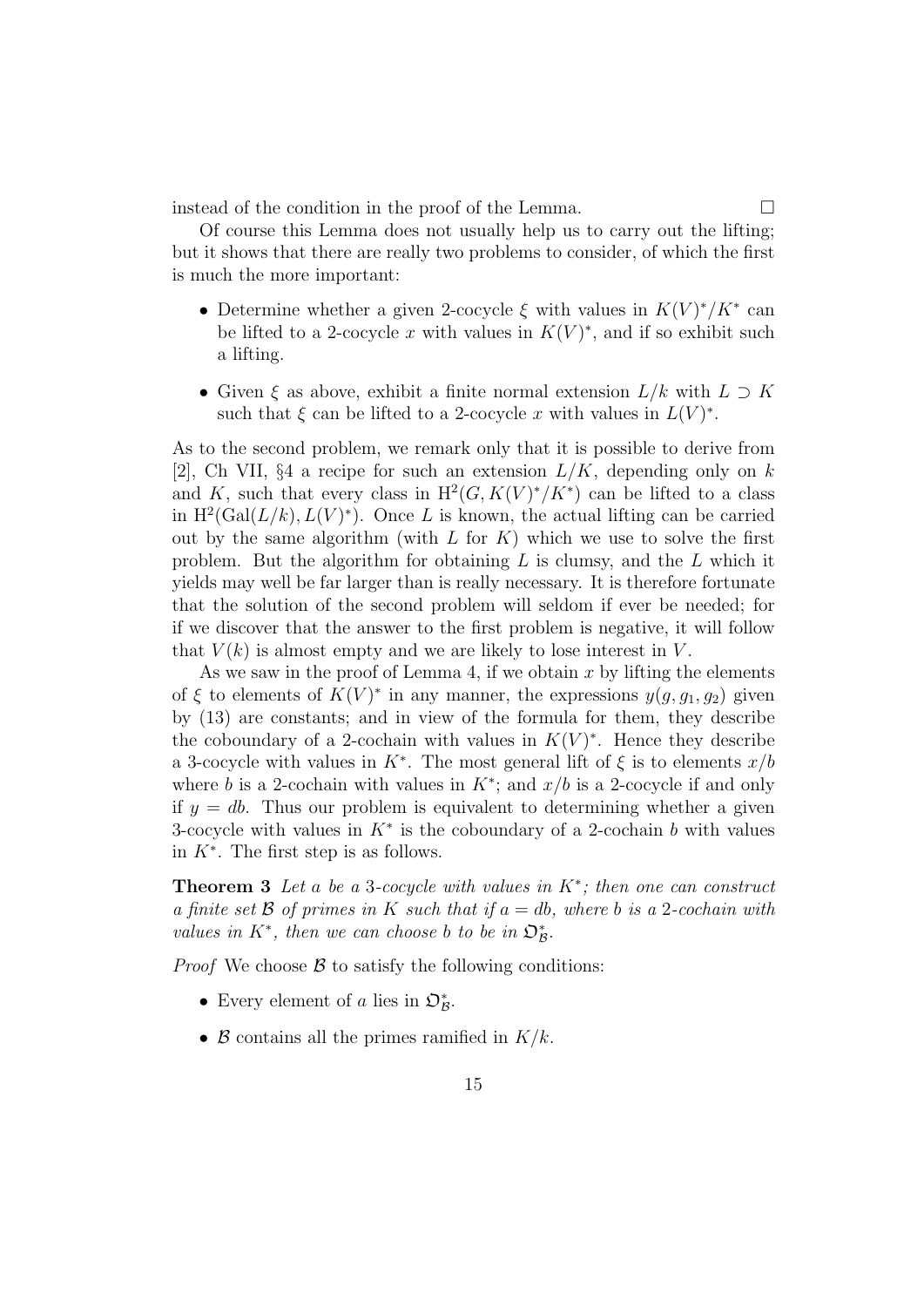instead of the condition in the proof of the Lemma.

Of course this Lemma does not usually help us to carry out the lifting; but it shows that there are really two problems to consider, of which the first is much the more important:

- Determine whether a given 2-cocycle  $\xi$  with values in  $K(V)^*/K^*$  can be lifted to a 2-cocycle x with values in  $K(V)^*$ , and if so exhibit such a lifting.
- Given  $\xi$  as above, exhibit a finite normal extension  $L/k$  with  $L \supset K$ such that  $\xi$  can be lifted to a 2-cocycle x with values in  $L(V)^*$ .

As to the second problem, we remark only that it is possible to derive from [2], Ch VII, §4 a recipe for such an extension  $L/K$ , depending only on k and K, such that every class in  $H^2(G, K(V)^*/K^*)$  can be lifted to a class in  $H^2(\text{Gal}(L/k), L(V)^*)$ . Once L is known, the actual lifting can be carried out by the same algorithm (with  $L$  for  $K$ ) which we use to solve the first problem. But the algorithm for obtaining  $L$  is clumsy, and the  $L$  which it yields may well be far larger than is really necessary. It is therefore fortunate that the solution of the second problem will seldom if ever be needed; for if we discover that the answer to the first problem is negative, it will follow that  $V(k)$  is almost empty and we are likely to lose interest in V.

As we saw in the proof of Lemma 4, if we obtain  $x$  by lifting the elements of  $\xi$  to elements of  $K(V)^*$  in any manner, the expressions  $y(g, g_1, g_2)$  given by (13) are constants; and in view of the formula for them, they describe the coboundary of a 2-cochain with values in  $K(V)^*$ . Hence they describe a 3-cocycle with values in  $K^*$ . The most general lift of  $\xi$  is to elements  $x/b$ where b is a 2-cochain with values in  $K^*$ ; and  $x/b$  is a 2-cocycle if and only if  $y = db$ . Thus our problem is equivalent to determining whether a given 3-cocycle with values in  $K^*$  is the coboundary of a 2-cochain b with values in  $K^*$ . The first step is as follows.

**Theorem 3** Let a be a 3-cocycle with values in  $K^*$ ; then one can construct a finite set  $\beta$  of primes in K such that if  $a = db$ , where b is a 2-cochain with values in  $K^*$ , then we can choose b to be in  $\mathfrak{O}_{\mathcal{B}}^*$ .

*Proof* We choose  $\beta$  to satisfy the following conditions:

- Every element of a lies in  $\mathfrak{O}_{\mathcal{B}}^*$ .
- B contains all the primes ramified in  $K/k$ .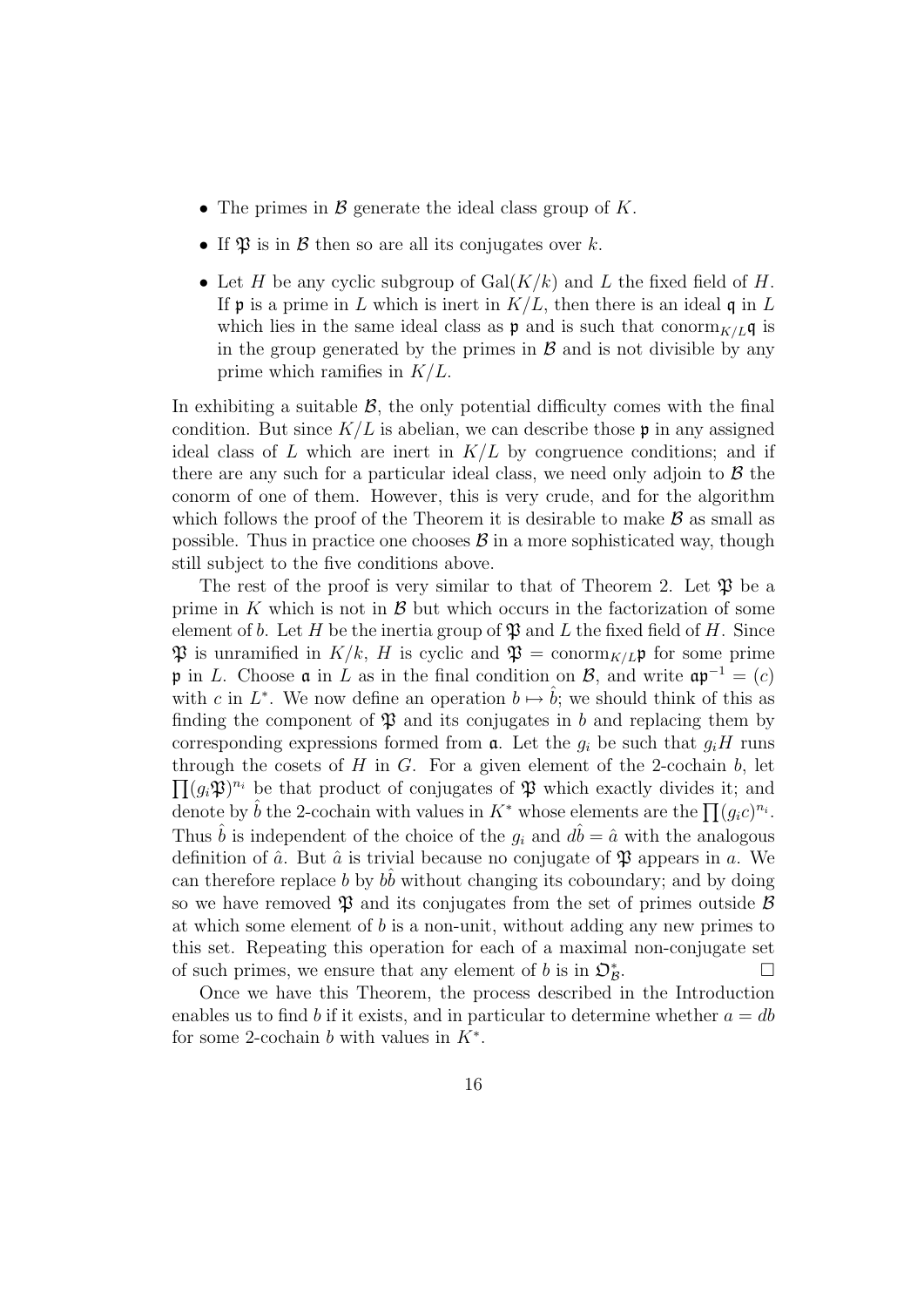- The primes in  $\mathcal B$  generate the ideal class group of K.
- If  $\mathfrak P$  is in  $\mathcal B$  then so are all its conjugates over k.
- Let H be any cyclic subgroup of  $Gal(K/k)$  and L the fixed field of H. If **p** is a prime in L which is inert in  $K/L$ , then there is an ideal q in L which lies in the same ideal class as  $\mathfrak p$  and is such that conorm<sub>K/L</sub>q is in the group generated by the primes in  $\beta$  and is not divisible by any prime which ramifies in  $K/L$ .

In exhibiting a suitable  $\beta$ , the only potential difficulty comes with the final condition. But since  $K/L$  is abelian, we can describe those p in any assigned ideal class of L which are inert in  $K/L$  by congruence conditions; and if there are any such for a particular ideal class, we need only adjoin to  $\beta$  the conorm of one of them. However, this is very crude, and for the algorithm which follows the proof of the Theorem it is desirable to make  $\mathcal B$  as small as possible. Thus in practice one chooses  $\beta$  in a more sophisticated way, though still subject to the five conditions above.

The rest of the proof is very similar to that of Theorem 2. Let  $\mathfrak{P}$  be a prime in K which is not in  $\beta$  but which occurs in the factorization of some element of b. Let H be the inertia group of  $\mathfrak P$  and L the fixed field of H. Since  $\mathfrak{P}$  is unramified in  $K/k$ , H is cyclic and  $\mathfrak{P} = \text{conorm}_{K/L} \mathfrak{p}$  for some prime p in L. Choose  $\mathfrak a$  in L as in the final condition on B, and write  $\mathfrak a \mathfrak p^{-1} = (c)$ with c in  $L^*$ . We now define an operation  $b \mapsto \hat{b}$ ; we should think of this as finding the component of  $\mathfrak P$  and its conjugates in b and replacing them by corresponding expressions formed from  $a$ . Let the  $g_i$  be such that  $g_iH$  runs through the cosets of  $H$  in  $G$ . For a given element of the 2-cochain  $b$ , let  $\prod (g_i \mathfrak{P})^{n_i}$  be that product of conjugates of  $\mathfrak{P}$  which exactly divides it; and denote by  $\hat{b}$  the 2-cochain with values in  $K^*$  whose elements are the  $\prod (g_ic)^{n_i}$ . Thus  $\hat{b}$  is independent of the choice of the  $g_i$  and  $d\hat{b} = \hat{a}$  with the analogous definition of  $\hat{a}$ . But  $\hat{a}$  is trivial because no conjugate of  $\mathfrak P$  appears in a. We can therefore replace b by  $b\hat{b}$  without changing its coboundary; and by doing so we have removed  $\mathfrak P$  and its conjugates from the set of primes outside  $\mathcal B$ at which some element of  $b$  is a non-unit, without adding any new primes to this set. Repeating this operation for each of a maximal non-conjugate set of such primes, we ensure that any element of b is in  $\mathcal{D}_{\mathcal{B}}^*$ .

Once we have this Theorem, the process described in the Introduction enables us to find b if it exists, and in particular to determine whether  $a = db$ for some 2-cochain b with values in  $K^*$ .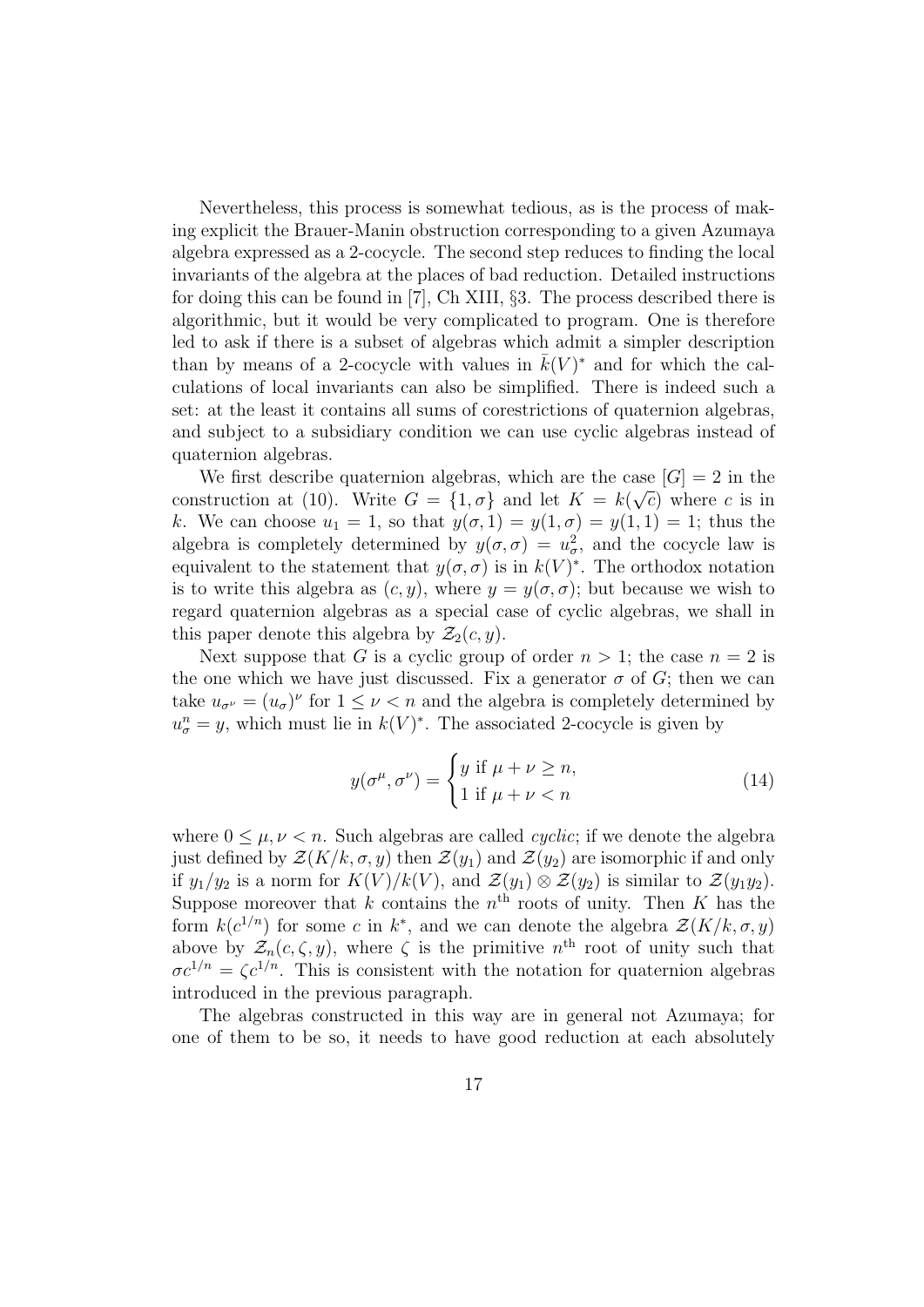Nevertheless, this process is somewhat tedious, as is the process of making explicit the Brauer-Manin obstruction corresponding to a given Azumaya algebra expressed as a 2-cocycle. The second step reduces to finding the local invariants of the algebra at the places of bad reduction. Detailed instructions for doing this can be found in [7], Ch XIII, §3. The process described there is algorithmic, but it would be very complicated to program. One is therefore led to ask if there is a subset of algebras which admit a simpler description than by means of a 2-cocycle with values in  $\bar{k}(V)^*$  and for which the calculations of local invariants can also be simplified. There is indeed such a set: at the least it contains all sums of corestrictions of quaternion algebras, and subject to a subsidiary condition we can use cyclic algebras instead of quaternion algebras.

We first describe quaternion algebras, which are the case  $[G] = 2$  in the construction at (10). Write  $G = \{1, \sigma\}$  and let  $K = k(\sqrt{c})$  where c is in k. We can choose  $u_1 = 1$ , so that  $y(\sigma, 1) = y(1, \sigma) = y(1, 1) = 1$ ; thus the algebra is completely determined by  $y(\sigma, \sigma) = u_{\sigma}^2$ , and the cocycle law is equivalent to the statement that  $y(\sigma, \sigma)$  is in  $k(V)^*$ . The orthodox notation is to write this algebra as  $(c, y)$ , where  $y = y(\sigma, \sigma)$ ; but because we wish to regard quaternion algebras as a special case of cyclic algebras, we shall in this paper denote this algebra by  $\mathcal{Z}_2(c, y)$ .

Next suppose that G is a cyclic group of order  $n > 1$ ; the case  $n = 2$  is the one which we have just discussed. Fix a generator  $\sigma$  of G; then we can take  $u_{\sigma^{\nu}} = (u_{\sigma})^{\nu}$  for  $1 \leq \nu < n$  and the algebra is completely determined by  $u_{\sigma}^{n} = y$ , which must lie in  $k(V)^{*}$ . The associated 2-cocycle is given by

$$
y(\sigma^{\mu}, \sigma^{\nu}) = \begin{cases} y \text{ if } \mu + \nu \ge n, \\ 1 \text{ if } \mu + \nu < n \end{cases} \tag{14}
$$

where  $0 \leq \mu, \nu \leq n$ . Such algebras are called *cyclic*; if we denote the algebra just defined by  $\mathcal{Z}(K/k, \sigma, y)$  then  $\mathcal{Z}(y_1)$  and  $\mathcal{Z}(y_2)$  are isomorphic if and only if  $y_1/y_2$  is a norm for  $K(V)/k(V)$ , and  $\mathcal{Z}(y_1) \otimes \mathcal{Z}(y_2)$  is similar to  $\mathcal{Z}(y_1y_2)$ . Suppose moreover that k contains the  $n<sup>th</sup>$  roots of unity. Then K has the form  $k(c^{1/n})$  for some c in  $k^*$ , and we can denote the algebra  $\mathcal{Z}(K/k, \sigma, y)$ above by  $\mathcal{Z}_n(c,\zeta,y)$ , where  $\zeta$  is the primitive  $n^{\text{th}}$  root of unity such that  $\sigma c^{1/n} = \zeta c^{1/n}$ . This is consistent with the notation for quaternion algebras introduced in the previous paragraph.

The algebras constructed in this way are in general not Azumaya; for one of them to be so, it needs to have good reduction at each absolutely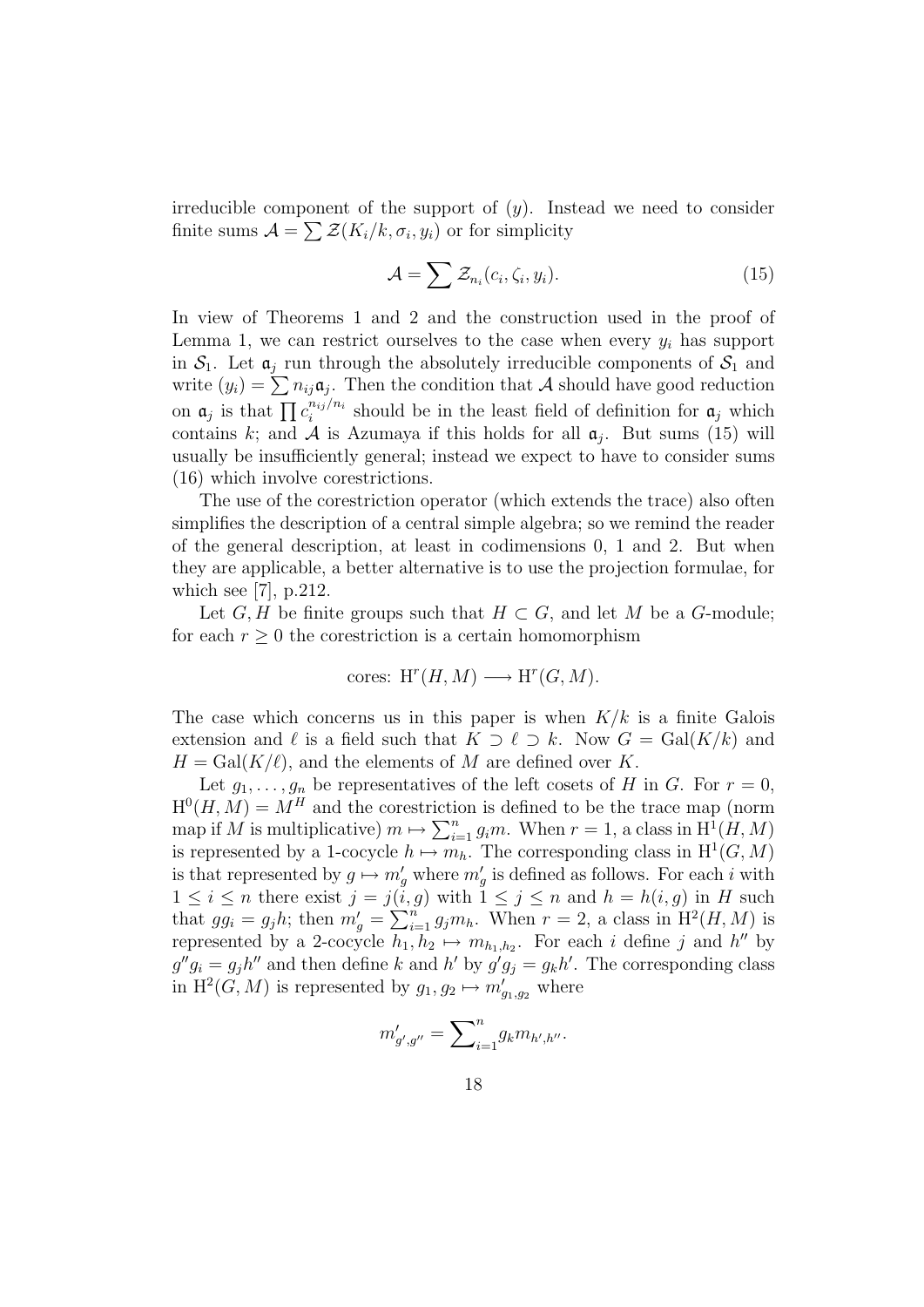irreducible component of the support of  $(y)$ . Instead we need to consider finite sums  $\mathcal{A} = \sum \mathcal{Z}(K_i/k, \sigma_i, y_i)$  or for simplicity

$$
\mathcal{A} = \sum \mathcal{Z}_{n_i}(c_i, \zeta_i, y_i). \tag{15}
$$

In view of Theorems 1 and 2 and the construction used in the proof of Lemma 1, we can restrict ourselves to the case when every  $y_i$  has support in  $S_1$ . Let  $\mathfrak{a}_i$  run through the absolutely irreducible components of  $S_1$  and write  $(y_i) = \sum n_{ij} \mathfrak{a}_j$ . Then the condition that A should have good reduction on  $a_j$  is that  $\prod c_i^{n_{ij}/n_i}$  $\sum_{i=1}^{n_{ij}/n_i}$  should be in the least field of definition for  $\mathfrak{a}_j$  which contains k; and A is Azumaya if this holds for all  $a_j$ . But sums (15) will usually be insufficiently general; instead we expect to have to consider sums (16) which involve corestrictions.

The use of the corestriction operator (which extends the trace) also often simplifies the description of a central simple algebra; so we remind the reader of the general description, at least in codimensions 0, 1 and 2. But when they are applicable, a better alternative is to use the projection formulae, for which see [7], p.212.

Let  $G, H$  be finite groups such that  $H \subset G$ , and let M be a G-module; for each  $r \geq 0$  the corestriction is a certain homomorphism

$$
cores: H^r(H, M) \longrightarrow H^r(G, M).
$$

The case which concerns us in this paper is when  $K/k$  is a finite Galois extension and  $\ell$  is a field such that  $K \supset \ell \supset k$ . Now  $G = \text{Gal}(K/k)$  and  $H = \text{Gal}(K/\ell)$ , and the elements of M are defined over K.

Let  $g_1, \ldots, g_n$  be representatives of the left cosets of H in G. For  $r = 0$ ,  $H^0(H, M) = M^H$  and the corestriction is defined to be the trace map (norm map if M is multiplicative)  $m \mapsto \sum_{i=1}^n g_i m$ . When  $r = 1$ , a class in  $\text{H}^1(H, M)$ is represented by a 1-cocycle  $h \mapsto m_h$ . The corresponding class in  $H^1(G, M)$ is that represented by  $g \mapsto m'_g$  where  $m'_g$  is defined as follows. For each i with  $1 \leq i \leq n$  there exist  $j = j(i, g)$  with  $1 \leq j \leq n$  and  $h = h(i, g)$  in H such that  $gg_i = g_j h$ ; then  $m'_g = \sum_{i=1}^n g_j m_h$ . When  $r = 2$ , a class in  $H^2(H, M)$  is represented by a 2-cocycle  $h_1, h_2 \mapsto m_{h_1,h_2}$ . For each i define j and h'' by  $g''g_i = g_jh''$  and then define k and h' by  $g'g_j = g_kh'$ . The corresponding class in  $H^2(G, M)$  is represented by  $g_1, g_2 \mapsto m'_{g_1, g_2}$  where

$$
m'_{g',g''} = \sum\nolimits_{i=1}^{n} g_k m_{h',h''}.
$$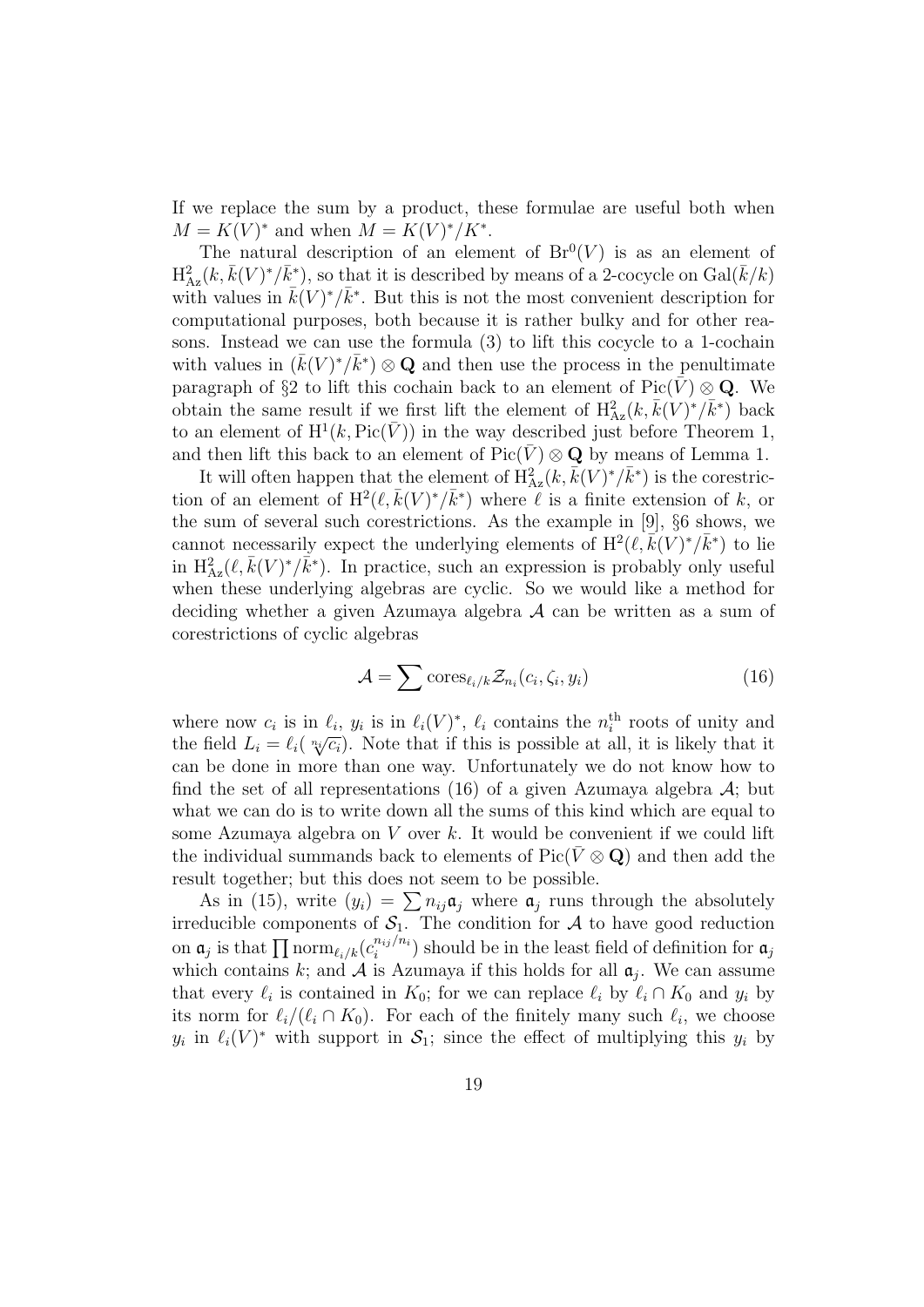If we replace the sum by a product, these formulae are useful both when  $M = K(V)^*$  and when  $M = K(V)^*/K^*$ .

The natural description of an element of  $Br^{0}(V)$  is as an element of  $\mathrm{H}^2_{\mathrm{Az}}(k,\bar{k}(V)^*/\bar{k}^*)$ , so that it is described by means of a 2-cocycle on  $\mathrm{Gal}(\bar{k}/k)$ with values in  $\bar{k}(V)^*/\bar{k}^*$ . But this is not the most convenient description for computational purposes, both because it is rather bulky and for other reasons. Instead we can use the formula (3) to lift this cocycle to a 1-cochain with values in  $(\bar{k}(V)^*/\bar{k}^*)\otimes \mathbf{Q}$  and then use the process in the penultimate paragraph of §2 to lift this cochain back to an element of  $Pic(\bar{V}) \otimes \mathbf{Q}$ . We obtain the same result if we first lift the element of  $H^2_{Az}(k, \bar{k}(V)^*/\bar{k}^*)$  back to an element of  $H^1(k, Pic(\bar{V}))$  in the way described just before Theorem 1, and then lift this back to an element of  $Pic(\overline{V}) \otimes \mathbf{Q}$  by means of Lemma 1.

It will often happen that the element of  $\overline{H}_{Az}^{2}(k, \overline{k}(V)^{*}/\overline{k}^{*})$  is the corestriction of an element of  $H^2(\ell, \bar{k}(V)^*/\bar{k}^*)$  where  $\ell$  is a finite extension of k, or the sum of several such corestrictions. As the example in [9], §6 shows, we cannot necessarily expect the underlying elements of  $H^2(\ell, \bar{k}(V)^*/\bar{k}^*)$  to lie in  $H_{Az}^2(\ell, \bar{k}(V)^*/\bar{k}^*)$ . In practice, such an expression is probably only useful when these underlying algebras are cyclic. So we would like a method for deciding whether a given Azumaya algebra A can be written as a sum of corestrictions of cyclic algebras

$$
\mathcal{A} = \sum \text{cores}_{\ell_i/k} \mathcal{Z}_{n_i}(c_i, \zeta_i, y_i) \tag{16}
$$

where now  $c_i$  is in  $\ell_i$ ,  $y_i$  is in  $\ell_i(V)^*$ ,  $\ell_i$  contains the  $n_i^{\text{th}}$  roots of unity and the field  $L_i = \ell_i(\sqrt[n_i]{c_i})$ . Note that if this is possible at all, it is likely that it can be done in more than one way. Unfortunately we do not know how to find the set of all representations (16) of a given Azumaya algebra  $A$ ; but what we can do is to write down all the sums of this kind which are equal to some Azumaya algebra on  $V$  over  $k$ . It would be convenient if we could lift the individual summands back to elements of  $Pic(\bar{V} \otimes \mathbf{Q})$  and then add the result together; but this does not seem to be possible.

As in (15), write  $(y_i) = \sum n_{ij} \mathfrak{a}_j$  where  $\mathfrak{a}_j$  runs through the absolutely irreducible components of  $S_1$ . The condition for A to have good reduction on  $\mathfrak{a}_j$  is that  $\prod \mathrm{norm}_{\ell_i/k}(c_i^{n_{ij}/n_i})$  $\binom{n_{ij}/n_i}{i}$  should be in the least field of definition for  $a_j$ which contains k; and  $A$  is Azumaya if this holds for all  $a_j$ . We can assume that every  $\ell_i$  is contained in  $K_0$ ; for we can replace  $\ell_i$  by  $\ell_i \cap K_0$  and  $y_i$  by its norm for  $\ell_i/(\ell_i \cap K_0)$ . For each of the finitely many such  $\ell_i$ , we choose  $y_i$  in  $\ell_i(V)^*$  with support in  $S_1$ ; since the effect of multiplying this  $y_i$  by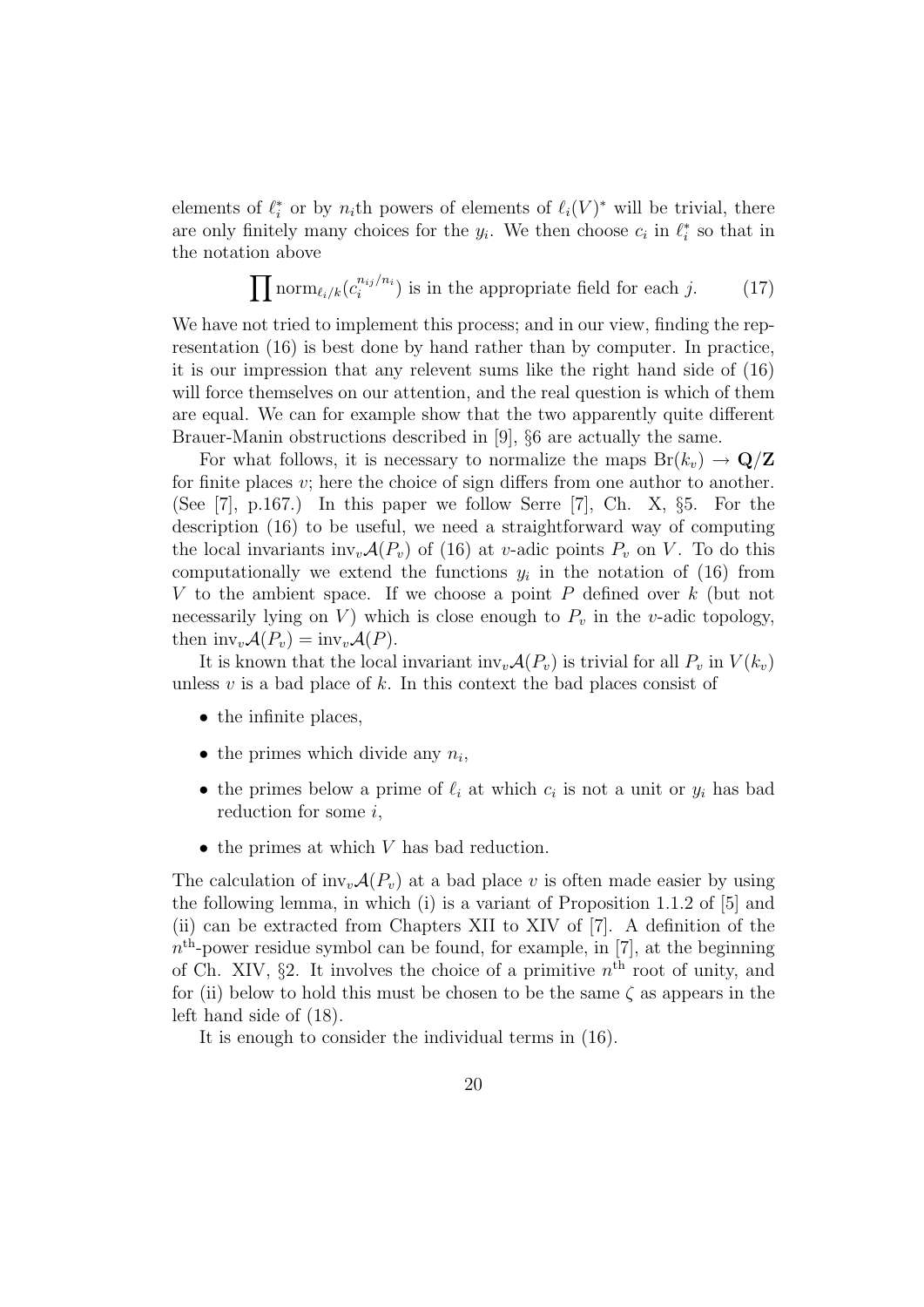elements of  $\ell_i^*$  or by  $n_i$ th powers of elements of  $\ell_i(V)^*$  will be trivial, there are only finitely many choices for the  $y_i$ . We then choose  $c_i$  in  $\ell_i^*$  so that in the notation above

$$
\prod \text{norm}_{\ell_i/k}(c_i^{n_{ij}/n_i}) \text{ is in the appropriate field for each } j. \tag{17}
$$

We have not tried to implement this process; and in our view, finding the representation (16) is best done by hand rather than by computer. In practice, it is our impression that any relevent sums like the right hand side of (16) will force themselves on our attention, and the real question is which of them are equal. We can for example show that the two apparently quite different Brauer-Manin obstructions described in [9], §6 are actually the same.

For what follows, it is necessary to normalize the maps  $Br(k_v) \rightarrow \mathbf{Q}/\mathbf{Z}$ for finite places  $v$ ; here the choice of sign differs from one author to another. (See [7], p.167.) In this paper we follow Serre [7], Ch. X, §5. For the description (16) to be useful, we need a straightforward way of computing the local invariants inv<sub>v</sub> $\mathcal{A}(P_v)$  of (16) at v-adic points  $P_v$  on V. To do this computationally we extend the functions  $y_i$  in the notation of (16) from V to the ambient space. If we choose a point  $P$  defined over  $k$  (but not necessarily lying on V) which is close enough to  $P_v$  in the v-adic topology, then  $\text{inv}_v\mathcal{A}(P_v) = \text{inv}_v\mathcal{A}(P)$ .

It is known that the local invariant inv<sub>v</sub> $\mathcal{A}(P_v)$  is trivial for all  $P_v$  in  $V(k_v)$ unless  $v$  is a bad place of  $k$ . In this context the bad places consist of

- the infinite places,
- the primes which divide any  $n_i$ ,
- the primes below a prime of  $\ell_i$  at which  $c_i$  is not a unit or  $y_i$  has bad reduction for some  $i$ ,
- $\bullet$  the primes at which V has bad reduction.

The calculation of  $inv_v\mathcal{A}(P_v)$  at a bad place v is often made easier by using the following lemma, in which (i) is a variant of Proposition 1.1.2 of [5] and (ii) can be extracted from Chapters XII to XIV of [7]. A definition of the  $n<sup>th</sup>$ -power residue symbol can be found, for example, in [7], at the beginning of Ch. XIV,  $\S 2$ . It involves the choice of a primitive  $n<sup>th</sup>$  root of unity, and for (ii) below to hold this must be chosen to be the same  $\zeta$  as appears in the left hand side of (18).

It is enough to consider the individual terms in (16).